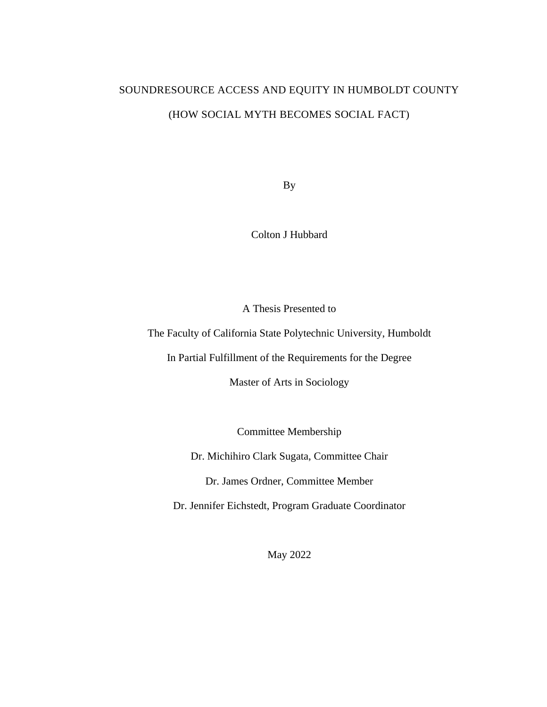# SOUNDRESOURCE ACCESS AND EQUITY IN HUMBOLDT COUNTY (HOW SOCIAL MYTH BECOMES SOCIAL FACT)

By

Colton J Hubbard

A Thesis Presented to

The Faculty of California State Polytechnic University, Humboldt

In Partial Fulfillment of the Requirements for the Degree

Master of Arts in Sociology

Committee Membership

Dr. Michihiro Clark Sugata, Committee Chair

Dr. James Ordner, Committee Member

Dr. Jennifer Eichstedt, Program Graduate Coordinator

May 2022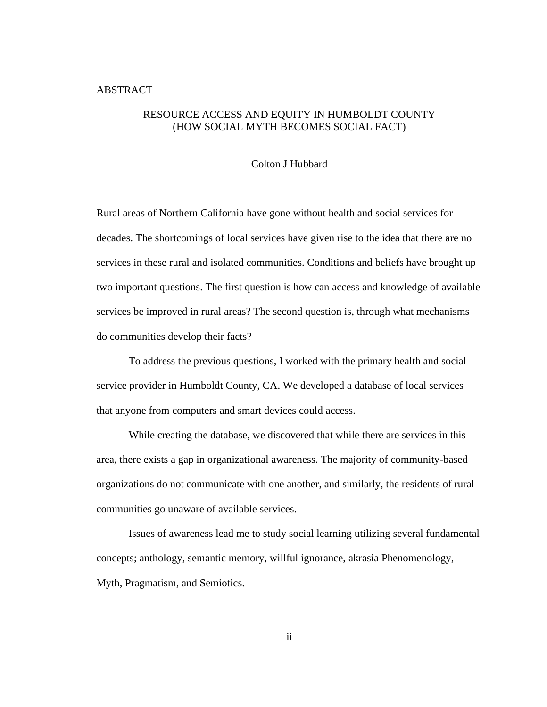## <span id="page-1-0"></span>ABSTRACT

## RESOURCE ACCESS AND EQUITY IN HUMBOLDT COUNTY (HOW SOCIAL MYTH BECOMES SOCIAL FACT)

#### Colton J Hubbard

Rural areas of Northern California have gone without health and social services for decades. The shortcomings of local services have given rise to the idea that there are no services in these rural and isolated communities. Conditions and beliefs have brought up two important questions. The first question is how can access and knowledge of available services be improved in rural areas? The second question is, through what mechanisms do communities develop their facts?

To address the previous questions, I worked with the primary health and social service provider in Humboldt County, CA. We developed a database of local services that anyone from computers and smart devices could access.

While creating the database, we discovered that while there are services in this area, there exists a gap in organizational awareness. The majority of community-based organizations do not communicate with one another, and similarly, the residents of rural communities go unaware of available services.

Issues of awareness lead me to study social learning utilizing several fundamental concepts; anthology, semantic memory, willful ignorance, akrasia Phenomenology, Myth, Pragmatism, and Semiotics.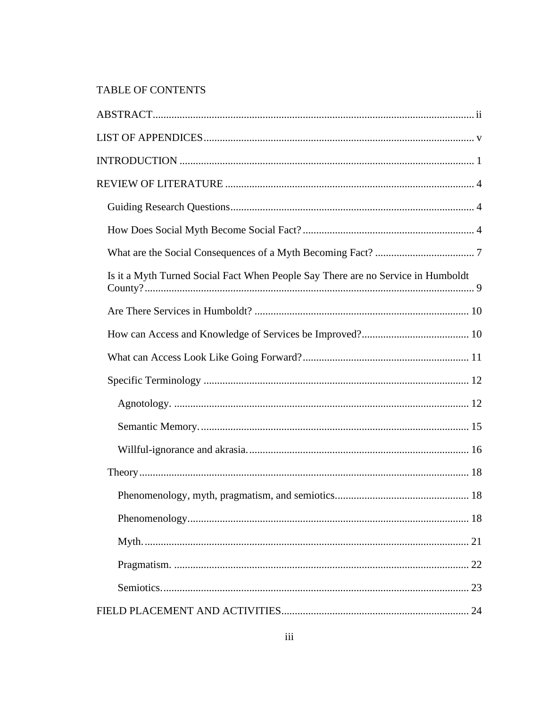# TABLE OF CONTENTS

| Is it a Myth Turned Social Fact When People Say There are no Service in Humboldt |
|----------------------------------------------------------------------------------|
|                                                                                  |
|                                                                                  |
|                                                                                  |
|                                                                                  |
|                                                                                  |
|                                                                                  |
|                                                                                  |
|                                                                                  |
|                                                                                  |
|                                                                                  |
|                                                                                  |
|                                                                                  |
|                                                                                  |
|                                                                                  |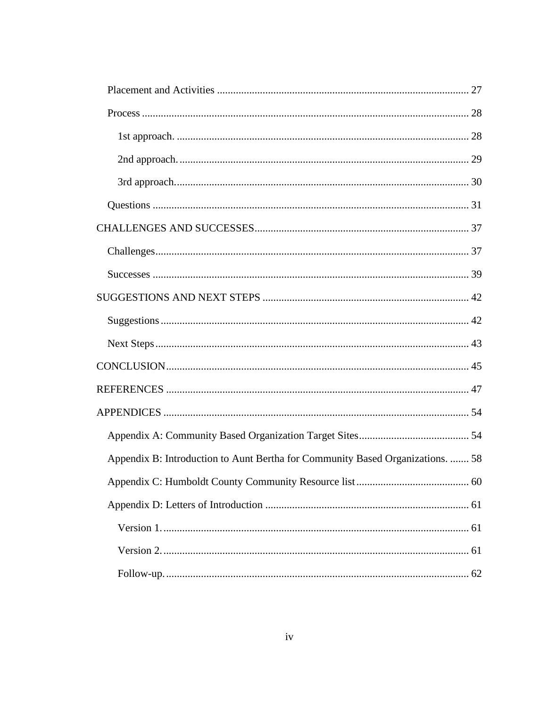| Appendix B: Introduction to Aunt Bertha for Community Based Organizations.  58 |  |
|--------------------------------------------------------------------------------|--|
|                                                                                |  |
|                                                                                |  |
|                                                                                |  |
|                                                                                |  |
|                                                                                |  |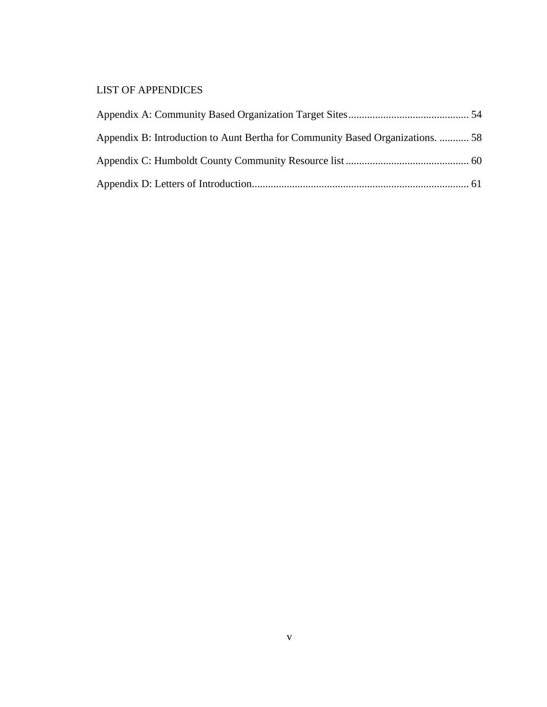# <span id="page-4-0"></span>LIST OF APPENDICES

| Appendix B: Introduction to Aunt Bertha for Community Based Organizations.  58 |  |
|--------------------------------------------------------------------------------|--|
|                                                                                |  |
|                                                                                |  |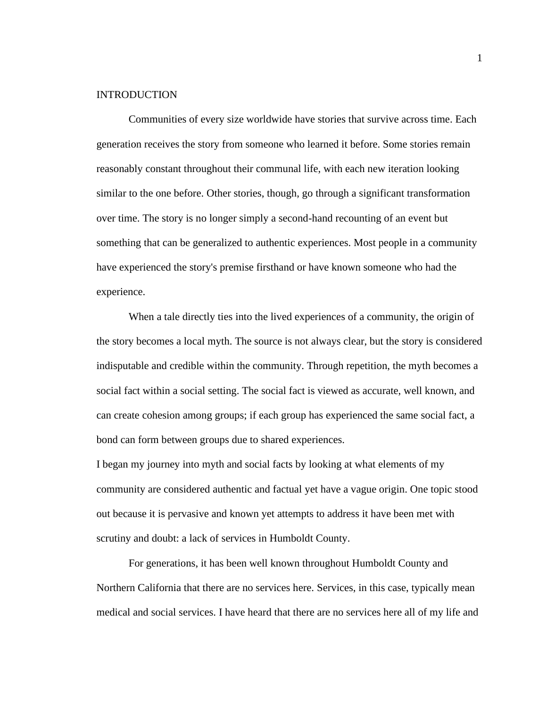## <span id="page-5-0"></span>INTRODUCTION

Communities of every size worldwide have stories that survive across time. Each generation receives the story from someone who learned it before. Some stories remain reasonably constant throughout their communal life, with each new iteration looking similar to the one before. Other stories, though, go through a significant transformation over time. The story is no longer simply a second-hand recounting of an event but something that can be generalized to authentic experiences. Most people in a community have experienced the story's premise firsthand or have known someone who had the experience.

When a tale directly ties into the lived experiences of a community, the origin of the story becomes a local myth. The source is not always clear, but the story is considered indisputable and credible within the community. Through repetition, the myth becomes a social fact within a social setting. The social fact is viewed as accurate, well known, and can create cohesion among groups; if each group has experienced the same social fact, a bond can form between groups due to shared experiences.

I began my journey into myth and social facts by looking at what elements of my community are considered authentic and factual yet have a vague origin. One topic stood out because it is pervasive and known yet attempts to address it have been met with scrutiny and doubt: a lack of services in Humboldt County.

For generations, it has been well known throughout Humboldt County and Northern California that there are no services here. Services, in this case, typically mean medical and social services. I have heard that there are no services here all of my life and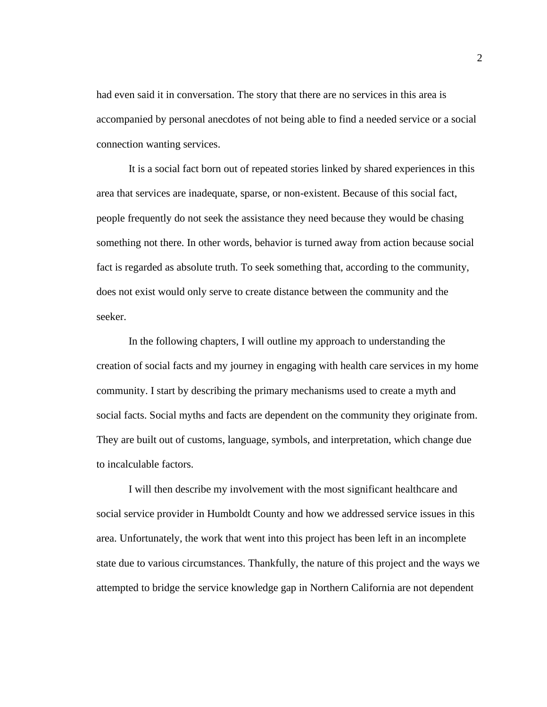had even said it in conversation. The story that there are no services in this area is accompanied by personal anecdotes of not being able to find a needed service or a social connection wanting services.

It is a social fact born out of repeated stories linked by shared experiences in this area that services are inadequate, sparse, or non-existent. Because of this social fact, people frequently do not seek the assistance they need because they would be chasing something not there. In other words, behavior is turned away from action because social fact is regarded as absolute truth. To seek something that, according to the community, does not exist would only serve to create distance between the community and the seeker.

In the following chapters, I will outline my approach to understanding the creation of social facts and my journey in engaging with health care services in my home community. I start by describing the primary mechanisms used to create a myth and social facts. Social myths and facts are dependent on the community they originate from. They are built out of customs, language, symbols, and interpretation, which change due to incalculable factors.

I will then describe my involvement with the most significant healthcare and social service provider in Humboldt County and how we addressed service issues in this area. Unfortunately, the work that went into this project has been left in an incomplete state due to various circumstances. Thankfully, the nature of this project and the ways we attempted to bridge the service knowledge gap in Northern California are not dependent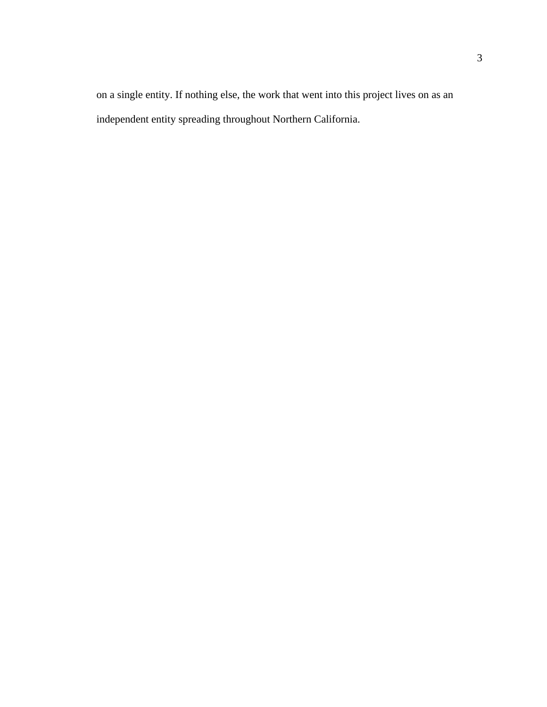on a single entity. If nothing else, the work that went into this project lives on as an independent entity spreading throughout Northern California.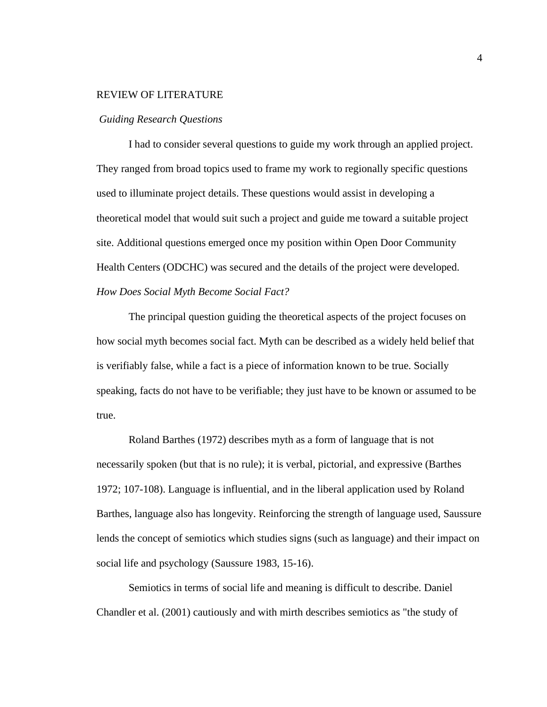## <span id="page-8-0"></span>REVIEW OF LITERATURE

#### <span id="page-8-1"></span>*Guiding Research Questions*

I had to consider several questions to guide my work through an applied project. They ranged from broad topics used to frame my work to regionally specific questions used to illuminate project details. These questions would assist in developing a theoretical model that would suit such a project and guide me toward a suitable project site. Additional questions emerged once my position within Open Door Community Health Centers (ODCHC) was secured and the details of the project were developed. *How Does Social Myth Become Social Fact?*

<span id="page-8-2"></span>The principal question guiding the theoretical aspects of the project focuses on how social myth becomes social fact. Myth can be described as a widely held belief that is verifiably false, while a fact is a piece of information known to be true. Socially speaking, facts do not have to be verifiable; they just have to be known or assumed to be true.

Roland Barthes (1972) describes myth as a form of language that is not necessarily spoken (but that is no rule); it is verbal, pictorial, and expressive (Barthes 1972; 107-108). Language is influential, and in the liberal application used by Roland Barthes, language also has longevity. Reinforcing the strength of language used, Saussure lends the concept of semiotics which studies signs (such as language) and their impact on social life and psychology (Saussure 1983, 15-16).

Semiotics in terms of social life and meaning is difficult to describe. Daniel Chandler et al. (2001) cautiously and with mirth describes semiotics as "the study of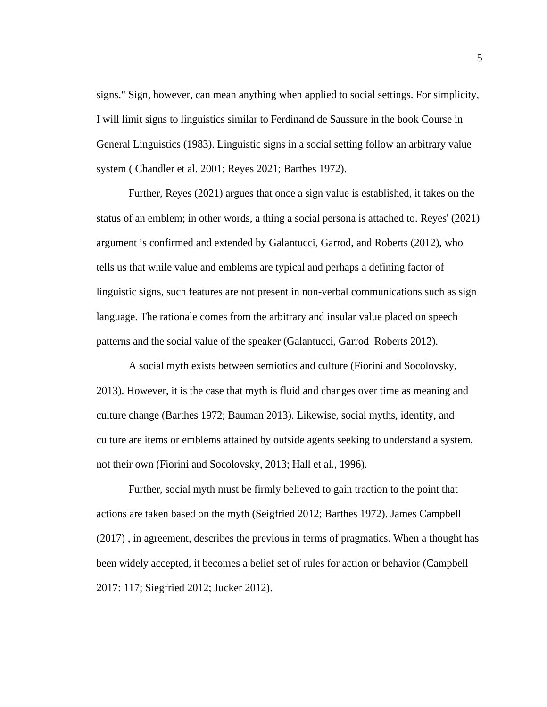signs." Sign, however, can mean anything when applied to social settings. For simplicity, I will limit signs to linguistics similar to Ferdinand de Saussure in the book Course in General Linguistics (1983). Linguistic signs in a social setting follow an arbitrary value system ( Chandler et al. 2001; Reyes 2021; Barthes 1972).

Further, Reyes (2021) argues that once a sign value is established, it takes on the status of an emblem; in other words, a thing a social persona is attached to. Reyes' (2021) argument is confirmed and extended by Galantucci, Garrod, and Roberts (2012), who tells us that while value and emblems are typical and perhaps a defining factor of linguistic signs, such features are not present in non-verbal communications such as sign language. The rationale comes from the arbitrary and insular value placed on speech patterns and the social value of the speaker (Galantucci, Garrod Roberts 2012).

A social myth exists between semiotics and culture (Fiorini and Socolovsky, 2013). However, it is the case that myth is fluid and changes over time as meaning and culture change (Barthes 1972; Bauman 2013). Likewise, social myths, identity, and culture are items or emblems attained by outside agents seeking to understand a system, not their own (Fiorini and Socolovsky, 2013; Hall et al., 1996).

Further, social myth must be firmly believed to gain traction to the point that actions are taken based on the myth (Seigfried 2012; Barthes 1972). James Campbell (2017) , in agreement, describes the previous in terms of pragmatics. When a thought has been widely accepted, it becomes a belief set of rules for action or behavior (Campbell 2017: 117; Siegfried 2012; Jucker 2012).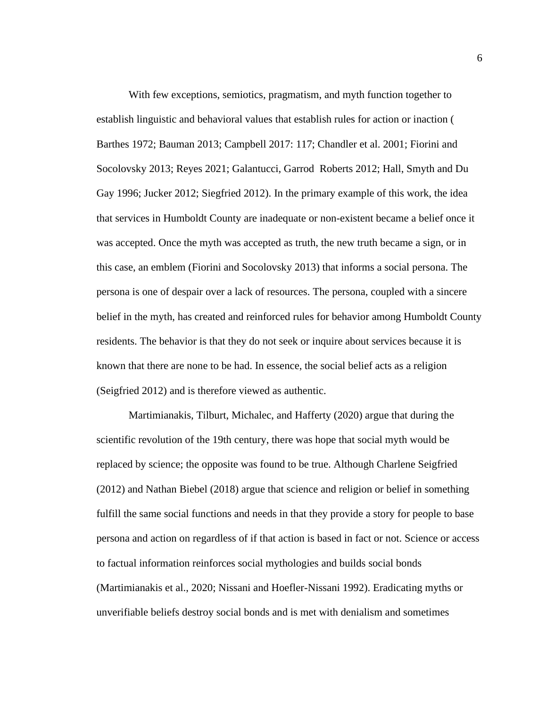With few exceptions, semiotics, pragmatism, and myth function together to establish linguistic and behavioral values that establish rules for action or inaction ( Barthes 1972; Bauman 2013; Campbell 2017: 117; Chandler et al. 2001; Fiorini and Socolovsky 2013; Reyes 2021; Galantucci, Garrod Roberts 2012; Hall, Smyth and Du Gay 1996; Jucker 2012; Siegfried 2012). In the primary example of this work, the idea that services in Humboldt County are inadequate or non-existent became a belief once it was accepted. Once the myth was accepted as truth, the new truth became a sign, or in this case, an emblem (Fiorini and Socolovsky 2013) that informs a social persona. The persona is one of despair over a lack of resources. The persona, coupled with a sincere belief in the myth, has created and reinforced rules for behavior among Humboldt County residents. The behavior is that they do not seek or inquire about services because it is known that there are none to be had. In essence, the social belief acts as a religion (Seigfried 2012) and is therefore viewed as authentic.

Martimianakis, Tilburt, Michalec, and Hafferty (2020) argue that during the scientific revolution of the 19th century, there was hope that social myth would be replaced by science; the opposite was found to be true. Although Charlene Seigfried (2012) and Nathan Biebel (2018) argue that science and religion or belief in something fulfill the same social functions and needs in that they provide a story for people to base persona and action on regardless of if that action is based in fact or not. Science or access to factual information reinforces social mythologies and builds social bonds (Martimianakis et al., 2020; Nissani and Hoefler-Nissani 1992). Eradicating myths or unverifiable beliefs destroy social bonds and is met with denialism and sometimes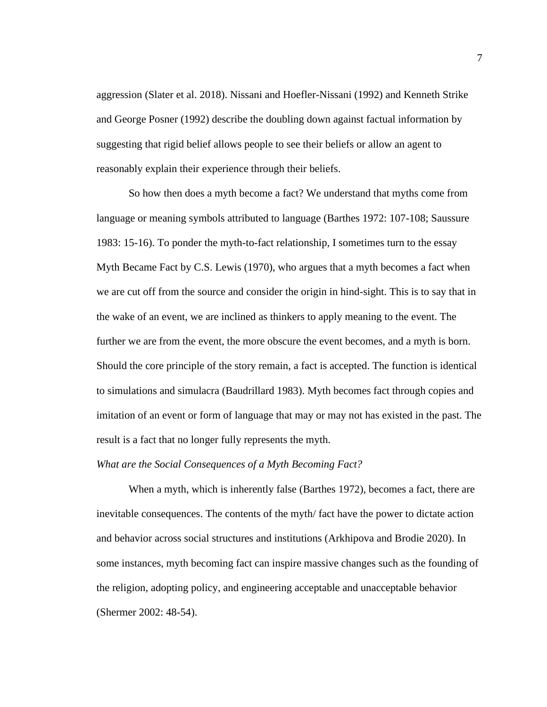aggression (Slater et al. 2018). Nissani and Hoefler-Nissani (1992) and Kenneth Strike and George Posner (1992) describe the doubling down against factual information by suggesting that rigid belief allows people to see their beliefs or allow an agent to reasonably explain their experience through their beliefs.

So how then does a myth become a fact? We understand that myths come from language or meaning symbols attributed to language (Barthes 1972: 107-108; Saussure 1983: 15-16). To ponder the myth-to-fact relationship, I sometimes turn to the essay Myth Became Fact by C.S. Lewis (1970), who argues that a myth becomes a fact when we are cut off from the source and consider the origin in hind-sight. This is to say that in the wake of an event, we are inclined as thinkers to apply meaning to the event. The further we are from the event, the more obscure the event becomes, and a myth is born. Should the core principle of the story remain, a fact is accepted. The function is identical to simulations and simulacra (Baudrillard 1983). Myth becomes fact through copies and imitation of an event or form of language that may or may not has existed in the past. The result is a fact that no longer fully represents the myth.

#### <span id="page-11-0"></span>*What are the Social Consequences of a Myth Becoming Fact?*

When a myth, which is inherently false (Barthes 1972), becomes a fact, there are inevitable consequences. The contents of the myth/ fact have the power to dictate action and behavior across social structures and institutions (Arkhipova and Brodie 2020). In some instances, myth becoming fact can inspire massive changes such as the founding of the religion, adopting policy, and engineering acceptable and unacceptable behavior (Shermer 2002: 48-54).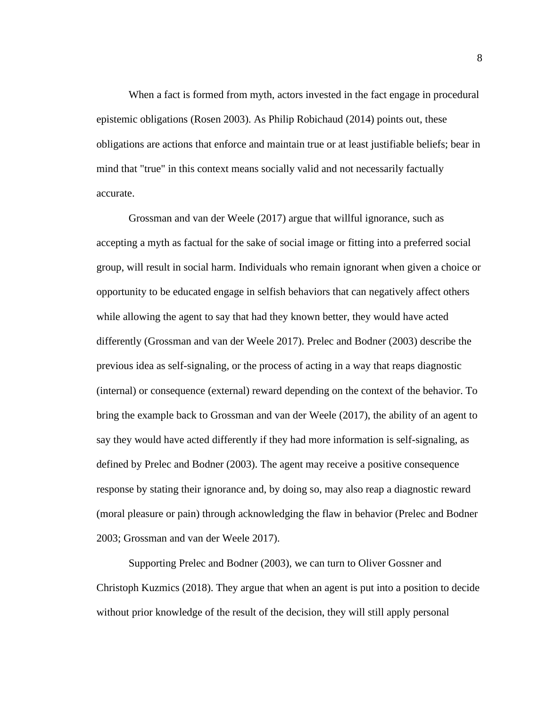When a fact is formed from myth, actors invested in the fact engage in procedural epistemic obligations (Rosen 2003). As Philip Robichaud (2014) points out, these obligations are actions that enforce and maintain true or at least justifiable beliefs; bear in mind that "true" in this context means socially valid and not necessarily factually accurate.

Grossman and van der Weele (2017) argue that willful ignorance, such as accepting a myth as factual for the sake of social image or fitting into a preferred social group, will result in social harm. Individuals who remain ignorant when given a choice or opportunity to be educated engage in selfish behaviors that can negatively affect others while allowing the agent to say that had they known better, they would have acted differently (Grossman and van der Weele 2017). Prelec and Bodner (2003) describe the previous idea as self-signaling, or the process of acting in a way that reaps diagnostic (internal) or consequence (external) reward depending on the context of the behavior. To bring the example back to Grossman and van der Weele (2017), the ability of an agent to say they would have acted differently if they had more information is self-signaling, as defined by Prelec and Bodner (2003). The agent may receive a positive consequence response by stating their ignorance and, by doing so, may also reap a diagnostic reward (moral pleasure or pain) through acknowledging the flaw in behavior (Prelec and Bodner 2003; Grossman and van der Weele 2017).

Supporting Prelec and Bodner (2003), we can turn to Oliver Gossner and Christoph Kuzmics (2018). They argue that when an agent is put into a position to decide without prior knowledge of the result of the decision, they will still apply personal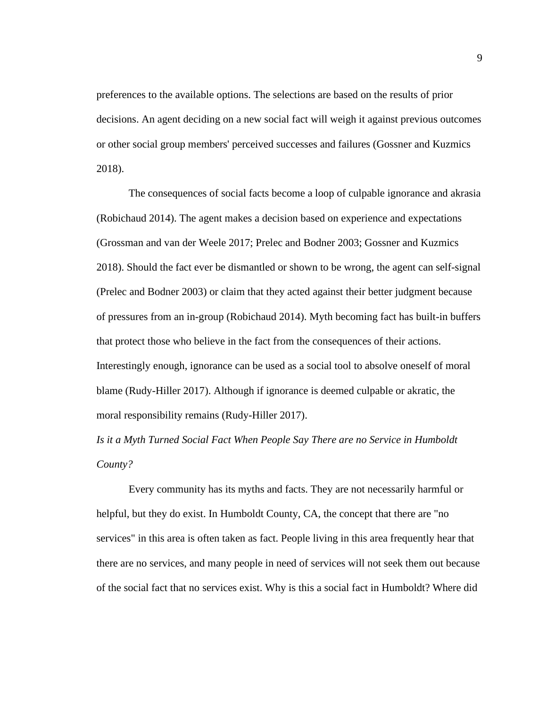preferences to the available options. The selections are based on the results of prior decisions. An agent deciding on a new social fact will weigh it against previous outcomes or other social group members' perceived successes and failures (Gossner and Kuzmics 2018).

The consequences of social facts become a loop of culpable ignorance and akrasia (Robichaud 2014). The agent makes a decision based on experience and expectations (Grossman and van der Weele 2017; Prelec and Bodner 2003; Gossner and Kuzmics 2018). Should the fact ever be dismantled or shown to be wrong, the agent can self-signal (Prelec and Bodner 2003) or claim that they acted against their better judgment because of pressures from an in-group (Robichaud 2014). Myth becoming fact has built-in buffers that protect those who believe in the fact from the consequences of their actions. Interestingly enough, ignorance can be used as a social tool to absolve oneself of moral blame (Rudy-Hiller 2017). Although if ignorance is deemed culpable or akratic, the moral responsibility remains (Rudy-Hiller 2017).

<span id="page-13-0"></span>*Is it a Myth Turned Social Fact When People Say There are no Service in Humboldt County?*

Every community has its myths and facts. They are not necessarily harmful or helpful, but they do exist. In Humboldt County, CA, the concept that there are "no services" in this area is often taken as fact. People living in this area frequently hear that there are no services, and many people in need of services will not seek them out because of the social fact that no services exist. Why is this a social fact in Humboldt? Where did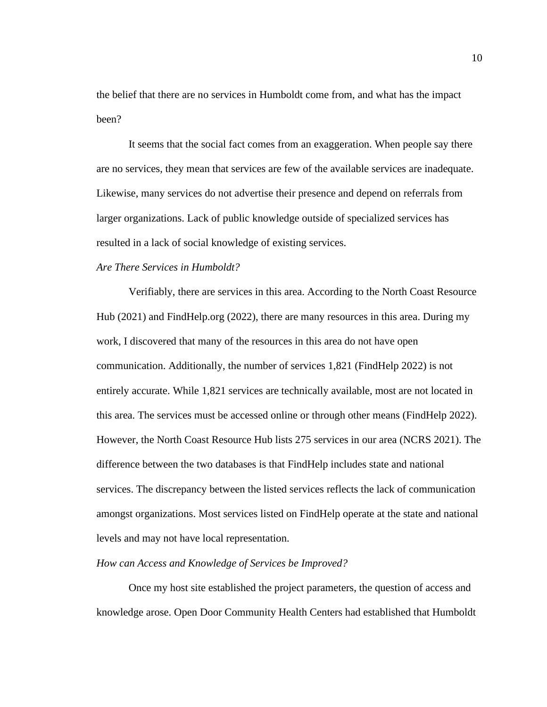the belief that there are no services in Humboldt come from, and what has the impact been?

It seems that the social fact comes from an exaggeration. When people say there are no services, they mean that services are few of the available services are inadequate. Likewise, many services do not advertise their presence and depend on referrals from larger organizations. Lack of public knowledge outside of specialized services has resulted in a lack of social knowledge of existing services.

## <span id="page-14-0"></span>*Are There Services in Humboldt?*

Verifiably, there are services in this area. According to the North Coast Resource Hub (2021) and FindHelp.org (2022), there are many resources in this area. During my work, I discovered that many of the resources in this area do not have open communication. Additionally, the number of services 1,821 (FindHelp 2022) is not entirely accurate. While 1,821 services are technically available, most are not located in this area. The services must be accessed online or through other means (FindHelp 2022). However, the North Coast Resource Hub lists 275 services in our area (NCRS 2021). The difference between the two databases is that FindHelp includes state and national services. The discrepancy between the listed services reflects the lack of communication amongst organizations. Most services listed on FindHelp operate at the state and national levels and may not have local representation.

#### <span id="page-14-1"></span>*How can Access and Knowledge of Services be Improved?*

Once my host site established the project parameters, the question of access and knowledge arose. Open Door Community Health Centers had established that Humboldt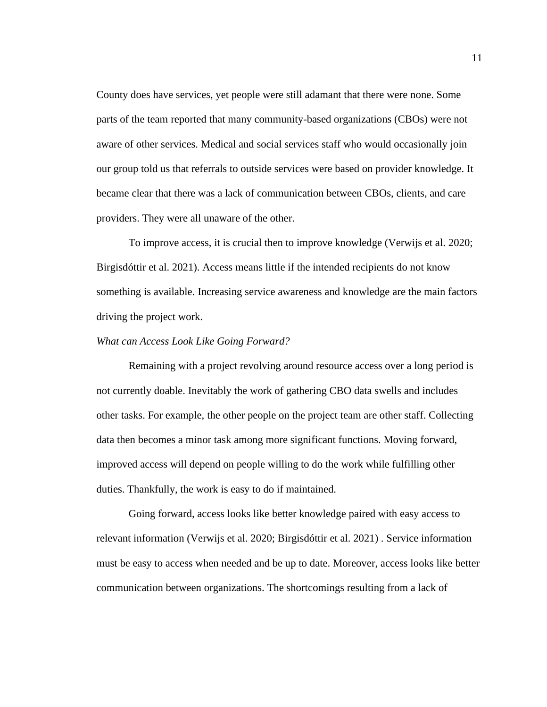County does have services, yet people were still adamant that there were none. Some parts of the team reported that many community-based organizations (CBOs) were not aware of other services. Medical and social services staff who would occasionally join our group told us that referrals to outside services were based on provider knowledge. It became clear that there was a lack of communication between CBOs, clients, and care providers. They were all unaware of the other.

To improve access, it is crucial then to improve knowledge (Verwijs et al. 2020; Birgisdóttir et al. 2021). Access means little if the intended recipients do not know something is available. Increasing service awareness and knowledge are the main factors driving the project work.

#### <span id="page-15-0"></span>*What can Access Look Like Going Forward?*

Remaining with a project revolving around resource access over a long period is not currently doable. Inevitably the work of gathering CBO data swells and includes other tasks. For example, the other people on the project team are other staff. Collecting data then becomes a minor task among more significant functions. Moving forward, improved access will depend on people willing to do the work while fulfilling other duties. Thankfully, the work is easy to do if maintained.

Going forward, access looks like better knowledge paired with easy access to relevant information (Verwijs et al. 2020; Birgisdóttir et al. 2021) . Service information must be easy to access when needed and be up to date. Moreover, access looks like better communication between organizations. The shortcomings resulting from a lack of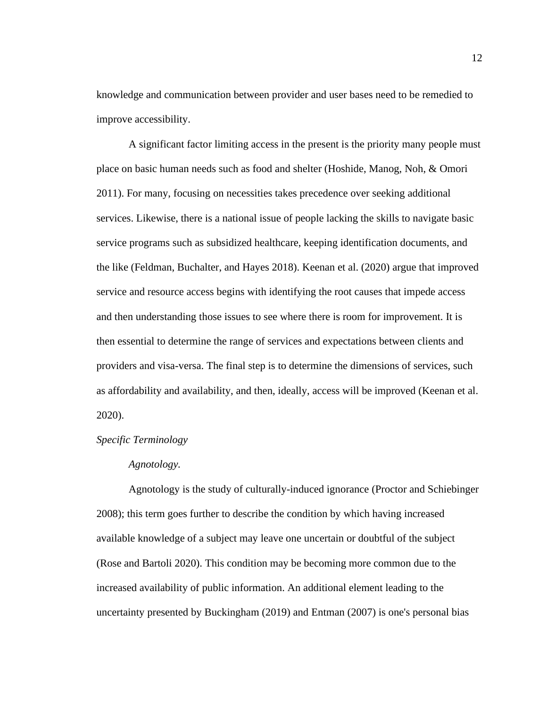knowledge and communication between provider and user bases need to be remedied to improve accessibility.

A significant factor limiting access in the present is the priority many people must place on basic human needs such as food and shelter (Hoshide, Manog, Noh, & Omori 2011). For many, focusing on necessities takes precedence over seeking additional services. Likewise, there is a national issue of people lacking the skills to navigate basic service programs such as subsidized healthcare, keeping identification documents, and the like (Feldman, Buchalter, and Hayes 2018). Keenan et al. (2020) argue that improved service and resource access begins with identifying the root causes that impede access and then understanding those issues to see where there is room for improvement. It is then essential to determine the range of services and expectations between clients and providers and visa-versa. The final step is to determine the dimensions of services, such as affordability and availability, and then, ideally, access will be improved (Keenan et al. 2020).

## <span id="page-16-1"></span><span id="page-16-0"></span>*Specific Terminology*

#### *Agnotology.*

Agnotology is the study of culturally-induced ignorance (Proctor and Schiebinger 2008); this term goes further to describe the condition by which having increased available knowledge of a subject may leave one uncertain or doubtful of the subject (Rose and Bartoli 2020). This condition may be becoming more common due to the increased availability of public information. An additional element leading to the uncertainty presented by Buckingham (2019) and Entman (2007) is one's personal bias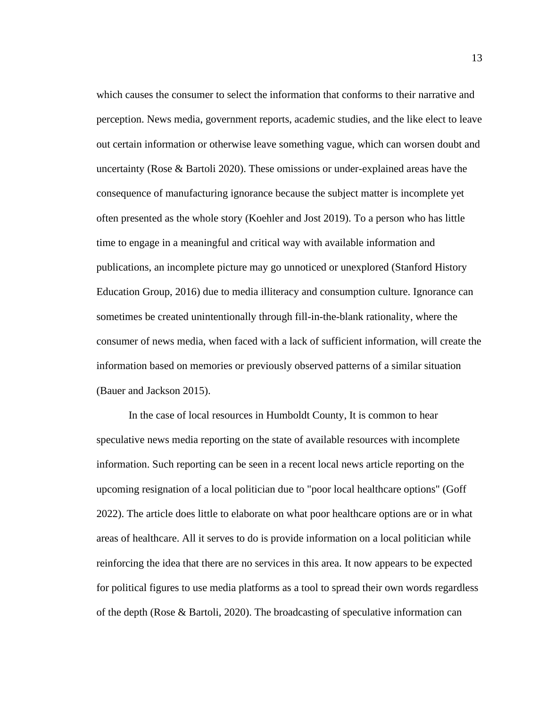which causes the consumer to select the information that conforms to their narrative and perception. News media, government reports, academic studies, and the like elect to leave out certain information or otherwise leave something vague, which can worsen doubt and uncertainty (Rose & Bartoli 2020). These omissions or under-explained areas have the consequence of manufacturing ignorance because the subject matter is incomplete yet often presented as the whole story (Koehler and Jost 2019). To a person who has little time to engage in a meaningful and critical way with available information and publications, an incomplete picture may go unnoticed or unexplored (Stanford History Education Group, 2016) due to media illiteracy and consumption culture. Ignorance can sometimes be created unintentionally through fill-in-the-blank rationality, where the consumer of news media, when faced with a lack of sufficient information, will create the information based on memories or previously observed patterns of a similar situation (Bauer and Jackson 2015).

In the case of local resources in Humboldt County, It is common to hear speculative news media reporting on the state of available resources with incomplete information. Such reporting can be seen in a recent local news article reporting on the upcoming resignation of a local politician due to "poor local healthcare options" (Goff 2022). The article does little to elaborate on what poor healthcare options are or in what areas of healthcare. All it serves to do is provide information on a local politician while reinforcing the idea that there are no services in this area. It now appears to be expected for political figures to use media platforms as a tool to spread their own words regardless of the depth (Rose & Bartoli, 2020). The broadcasting of speculative information can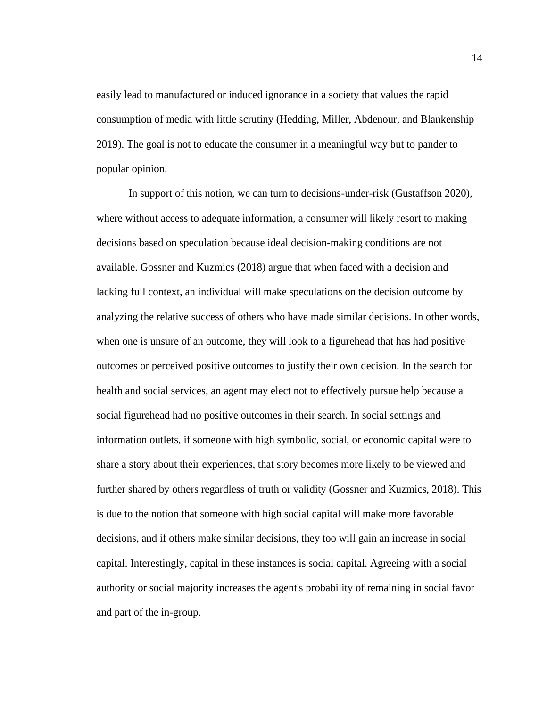easily lead to manufactured or induced ignorance in a society that values the rapid consumption of media with little scrutiny (Hedding, Miller, Abdenour, and Blankenship 2019). The goal is not to educate the consumer in a meaningful way but to pander to popular opinion.

In support of this notion, we can turn to decisions-under-risk (Gustaffson 2020), where without access to adequate information, a consumer will likely resort to making decisions based on speculation because ideal decision-making conditions are not available. Gossner and Kuzmics (2018) argue that when faced with a decision and lacking full context, an individual will make speculations on the decision outcome by analyzing the relative success of others who have made similar decisions. In other words, when one is unsure of an outcome, they will look to a figurehead that has had positive outcomes or perceived positive outcomes to justify their own decision. In the search for health and social services, an agent may elect not to effectively pursue help because a social figurehead had no positive outcomes in their search. In social settings and information outlets, if someone with high symbolic, social, or economic capital were to share a story about their experiences, that story becomes more likely to be viewed and further shared by others regardless of truth or validity (Gossner and Kuzmics, 2018). This is due to the notion that someone with high social capital will make more favorable decisions, and if others make similar decisions, they too will gain an increase in social capital. Interestingly, capital in these instances is social capital. Agreeing with a social authority or social majority increases the agent's probability of remaining in social favor and part of the in-group.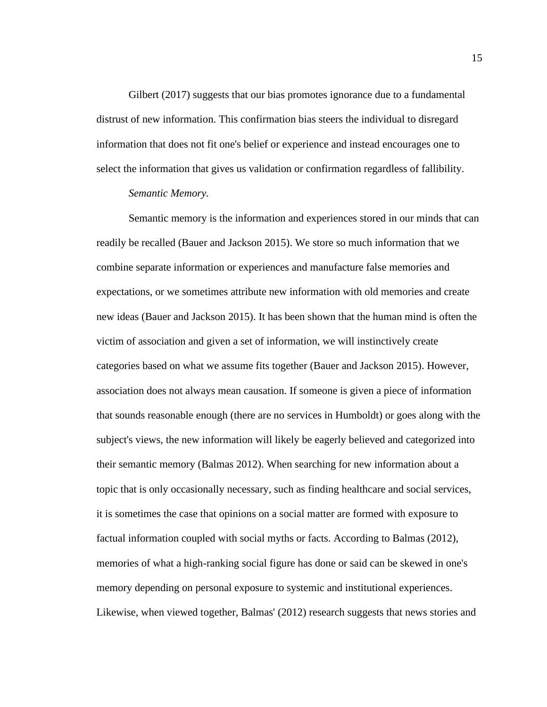Gilbert (2017) suggests that our bias promotes ignorance due to a fundamental distrust of new information. This confirmation bias steers the individual to disregard information that does not fit one's belief or experience and instead encourages one to select the information that gives us validation or confirmation regardless of fallibility.

#### *Semantic Memory.*

<span id="page-19-0"></span>Semantic memory is the information and experiences stored in our minds that can readily be recalled (Bauer and Jackson 2015). We store so much information that we combine separate information or experiences and manufacture false memories and expectations, or we sometimes attribute new information with old memories and create new ideas (Bauer and Jackson 2015). It has been shown that the human mind is often the victim of association and given a set of information, we will instinctively create categories based on what we assume fits together (Bauer and Jackson 2015). However, association does not always mean causation. If someone is given a piece of information that sounds reasonable enough (there are no services in Humboldt) or goes along with the subject's views, the new information will likely be eagerly believed and categorized into their semantic memory (Balmas 2012). When searching for new information about a topic that is only occasionally necessary, such as finding healthcare and social services, it is sometimes the case that opinions on a social matter are formed with exposure to factual information coupled with social myths or facts. According to Balmas (2012), memories of what a high-ranking social figure has done or said can be skewed in one's memory depending on personal exposure to systemic and institutional experiences. Likewise, when viewed together, Balmas' (2012) research suggests that news stories and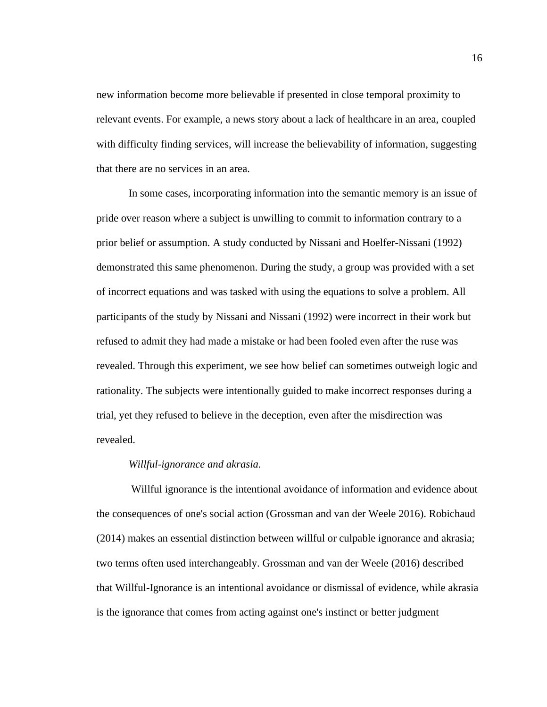new information become more believable if presented in close temporal proximity to relevant events. For example, a news story about a lack of healthcare in an area, coupled with difficulty finding services, will increase the believability of information, suggesting that there are no services in an area.

In some cases, incorporating information into the semantic memory is an issue of pride over reason where a subject is unwilling to commit to information contrary to a prior belief or assumption. A study conducted by Nissani and Hoelfer-Nissani (1992) demonstrated this same phenomenon. During the study, a group was provided with a set of incorrect equations and was tasked with using the equations to solve a problem. All participants of the study by Nissani and Nissani (1992) were incorrect in their work but refused to admit they had made a mistake or had been fooled even after the ruse was revealed. Through this experiment, we see how belief can sometimes outweigh logic and rationality. The subjects were intentionally guided to make incorrect responses during a trial, yet they refused to believe in the deception, even after the misdirection was revealed.

#### *Willful-ignorance and akrasia.*

<span id="page-20-0"></span>Willful ignorance is the intentional avoidance of information and evidence about the consequences of one's social action (Grossman and van der Weele 2016). Robichaud (2014) makes an essential distinction between willful or culpable ignorance and akrasia; two terms often used interchangeably. Grossman and van der Weele (2016) described that Willful-Ignorance is an intentional avoidance or dismissal of evidence, while akrasia is the ignorance that comes from acting against one's instinct or better judgment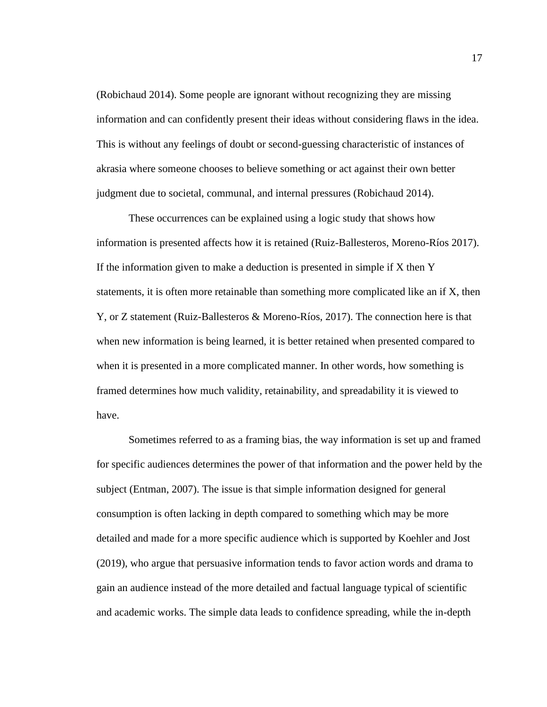(Robichaud 2014). Some people are ignorant without recognizing they are missing information and can confidently present their ideas without considering flaws in the idea. This is without any feelings of doubt or second-guessing characteristic of instances of akrasia where someone chooses to believe something or act against their own better judgment due to societal, communal, and internal pressures (Robichaud 2014).

These occurrences can be explained using a logic study that shows how information is presented affects how it is retained (Ruiz-Ballesteros, Moreno-Ríos 2017). If the information given to make a deduction is presented in simple if X then Y statements, it is often more retainable than something more complicated like an if X, then Y, or Z statement (Ruiz-Ballesteros & Moreno-Ríos, 2017). The connection here is that when new information is being learned, it is better retained when presented compared to when it is presented in a more complicated manner. In other words, how something is framed determines how much validity, retainability, and spreadability it is viewed to have.

Sometimes referred to as a framing bias, the way information is set up and framed for specific audiences determines the power of that information and the power held by the subject (Entman, 2007). The issue is that simple information designed for general consumption is often lacking in depth compared to something which may be more detailed and made for a more specific audience which is supported by Koehler and Jost (2019), who argue that persuasive information tends to favor action words and drama to gain an audience instead of the more detailed and factual language typical of scientific and academic works. The simple data leads to confidence spreading, while the in-depth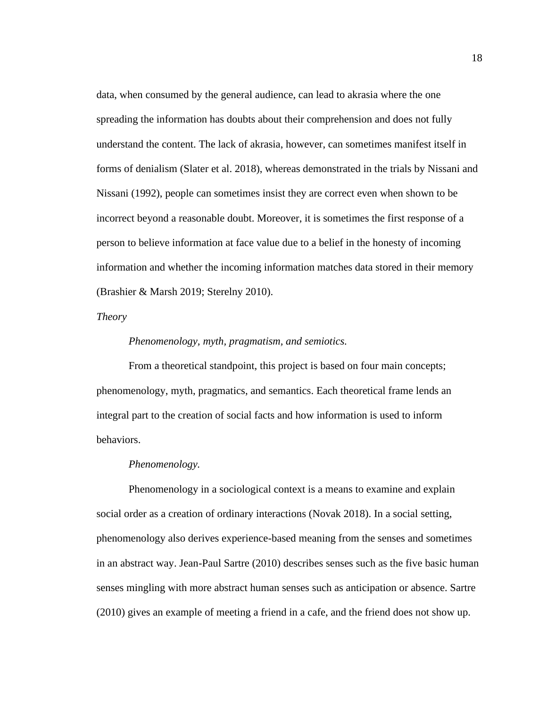data, when consumed by the general audience, can lead to akrasia where the one spreading the information has doubts about their comprehension and does not fully understand the content. The lack of akrasia, however, can sometimes manifest itself in forms of denialism (Slater et al. 2018), whereas demonstrated in the trials by Nissani and Nissani (1992), people can sometimes insist they are correct even when shown to be incorrect beyond a reasonable doubt. Moreover, it is sometimes the first response of a person to believe information at face value due to a belief in the honesty of incoming information and whether the incoming information matches data stored in their memory (Brashier & Marsh 2019; Sterelny 2010).

#### <span id="page-22-1"></span><span id="page-22-0"></span>*Theory*

#### *Phenomenology, myth, pragmatism, and semiotics.*

From a theoretical standpoint, this project is based on four main concepts; phenomenology, myth, pragmatics, and semantics. Each theoretical frame lends an integral part to the creation of social facts and how information is used to inform behaviors.

#### *Phenomenology.*

<span id="page-22-2"></span>Phenomenology in a sociological context is a means to examine and explain social order as a creation of ordinary interactions (Novak 2018). In a social setting, phenomenology also derives experience-based meaning from the senses and sometimes in an abstract way. Jean-Paul Sartre (2010) describes senses such as the five basic human senses mingling with more abstract human senses such as anticipation or absence. Sartre (2010) gives an example of meeting a friend in a cafe, and the friend does not show up.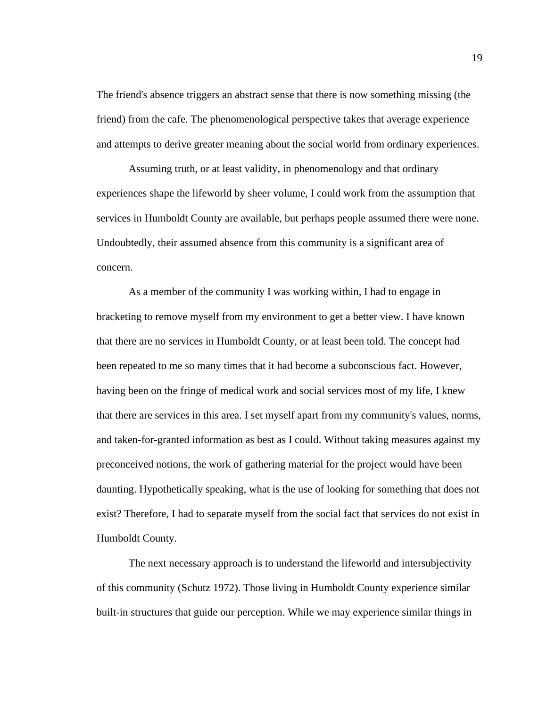The friend's absence triggers an abstract sense that there is now something missing (the friend) from the cafe. The phenomenological perspective takes that average experience and attempts to derive greater meaning about the social world from ordinary experiences.

Assuming truth, or at least validity, in phenomenology and that ordinary experiences shape the lifeworld by sheer volume, I could work from the assumption that services in Humboldt County are available, but perhaps people assumed there were none. Undoubtedly, their assumed absence from this community is a significant area of concern.

As a member of the community I was working within, I had to engage in bracketing to remove myself from my environment to get a better view. I have known that there are no services in Humboldt County, or at least been told. The concept had been repeated to me so many times that it had become a subconscious fact. However, having been on the fringe of medical work and social services most of my life, I knew that there are services in this area. I set myself apart from my community's values, norms, and taken-for-granted information as best as I could. Without taking measures against my preconceived notions, the work of gathering material for the project would have been daunting. Hypothetically speaking, what is the use of looking for something that does not exist? Therefore, I had to separate myself from the social fact that services do not exist in Humboldt County.

The next necessary approach is to understand the lifeworld and intersubjectivity of this community (Schutz 1972). Those living in Humboldt County experience similar built-in structures that guide our perception. While we may experience similar things in

19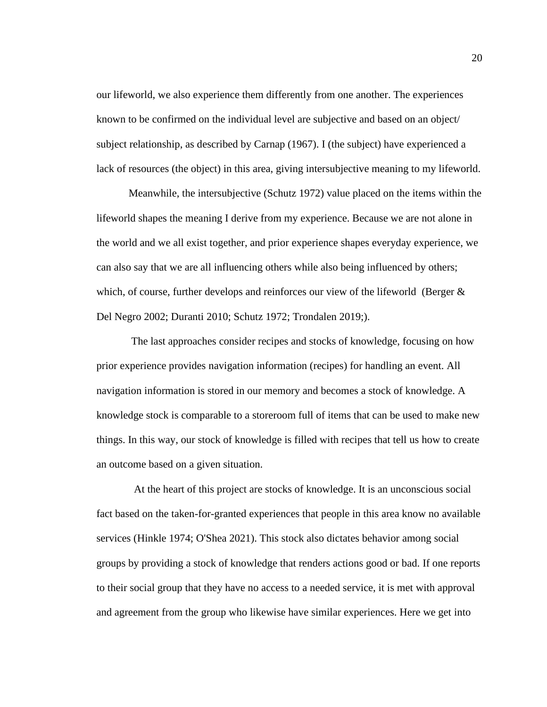our lifeworld, we also experience them differently from one another. The experiences known to be confirmed on the individual level are subjective and based on an object/ subject relationship, as described by Carnap (1967). I (the subject) have experienced a lack of resources (the object) in this area, giving intersubjective meaning to my lifeworld.

Meanwhile, the intersubjective (Schutz 1972) value placed on the items within the lifeworld shapes the meaning I derive from my experience. Because we are not alone in the world and we all exist together, and prior experience shapes everyday experience, we can also say that we are all influencing others while also being influenced by others; which, of course, further develops and reinforces our view of the lifeworld (Berger  $\&$ Del Negro 2002; Duranti 2010; Schutz 1972; Trondalen 2019;).

The last approaches consider recipes and stocks of knowledge, focusing on how prior experience provides navigation information (recipes) for handling an event. All navigation information is stored in our memory and becomes a stock of knowledge. A knowledge stock is comparable to a storeroom full of items that can be used to make new things. In this way, our stock of knowledge is filled with recipes that tell us how to create an outcome based on a given situation.

 At the heart of this project are stocks of knowledge. It is an unconscious social fact based on the taken-for-granted experiences that people in this area know no available services (Hinkle 1974; O'Shea 2021). This stock also dictates behavior among social groups by providing a stock of knowledge that renders actions good or bad. If one reports to their social group that they have no access to a needed service, it is met with approval and agreement from the group who likewise have similar experiences. Here we get into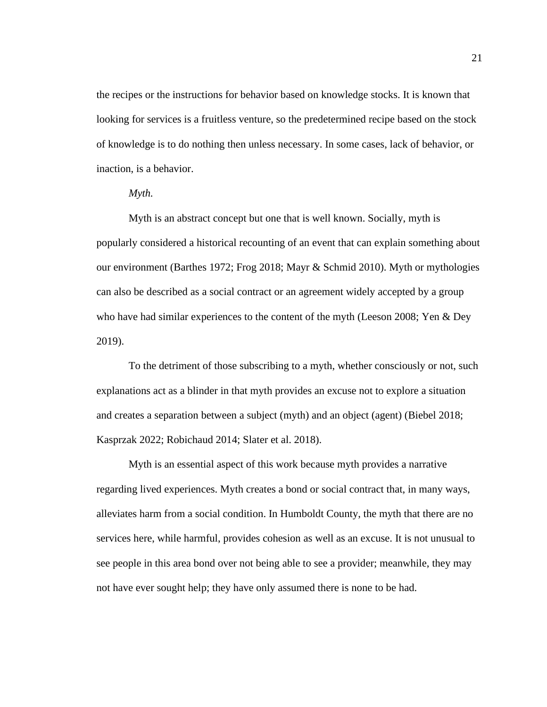the recipes or the instructions for behavior based on knowledge stocks. It is known that looking for services is a fruitless venture, so the predetermined recipe based on the stock of knowledge is to do nothing then unless necessary. In some cases, lack of behavior, or inaction, is a behavior.

## *Myth.*

<span id="page-25-0"></span>Myth is an abstract concept but one that is well known. Socially, myth is popularly considered a historical recounting of an event that can explain something about our environment (Barthes 1972; Frog 2018; Mayr & Schmid 2010). Myth or mythologies can also be described as a social contract or an agreement widely accepted by a group who have had similar experiences to the content of the myth (Leeson 2008; Yen & Dey 2019).

To the detriment of those subscribing to a myth, whether consciously or not, such explanations act as a blinder in that myth provides an excuse not to explore a situation and creates a separation between a subject (myth) and an object (agent) (Biebel 2018; Kasprzak 2022; Robichaud 2014; Slater et al. 2018).

Myth is an essential aspect of this work because myth provides a narrative regarding lived experiences. Myth creates a bond or social contract that, in many ways, alleviates harm from a social condition. In Humboldt County, the myth that there are no services here, while harmful, provides cohesion as well as an excuse. It is not unusual to see people in this area bond over not being able to see a provider; meanwhile, they may not have ever sought help; they have only assumed there is none to be had.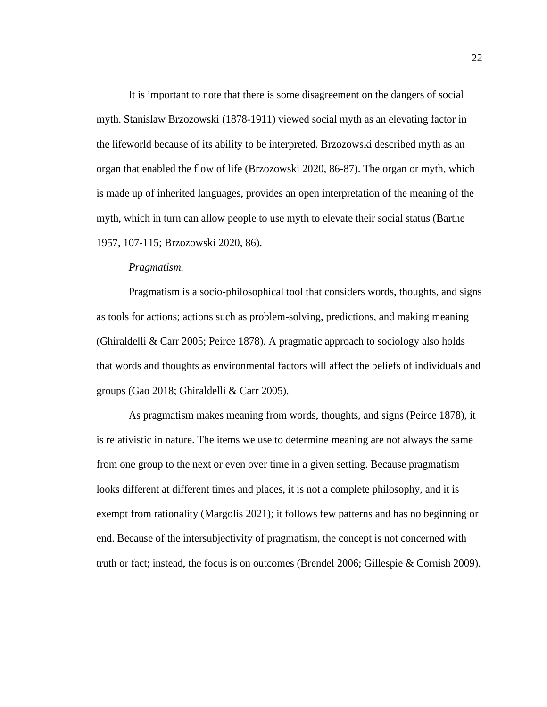It is important to note that there is some disagreement on the dangers of social myth. Stanislaw Brzozowski (1878-1911) viewed social myth as an elevating factor in the lifeworld because of its ability to be interpreted. Brzozowski described myth as an organ that enabled the flow of life (Brzozowski 2020, 86-87). The organ or myth, which is made up of inherited languages, provides an open interpretation of the meaning of the myth, which in turn can allow people to use myth to elevate their social status (Barthe 1957, 107-115; Brzozowski 2020, 86).

## *Pragmatism.*

<span id="page-26-0"></span>Pragmatism is a socio-philosophical tool that considers words, thoughts, and signs as tools for actions; actions such as problem-solving, predictions, and making meaning (Ghiraldelli & Carr 2005; Peirce 1878). A pragmatic approach to sociology also holds that words and thoughts as environmental factors will affect the beliefs of individuals and groups (Gao 2018; Ghiraldelli & Carr 2005).

As pragmatism makes meaning from words, thoughts, and signs (Peirce 1878), it is relativistic in nature. The items we use to determine meaning are not always the same from one group to the next or even over time in a given setting. Because pragmatism looks different at different times and places, it is not a complete philosophy, and it is exempt from rationality (Margolis 2021); it follows few patterns and has no beginning or end. Because of the intersubjectivity of pragmatism, the concept is not concerned with truth or fact; instead, the focus is on outcomes (Brendel 2006; Gillespie & Cornish 2009).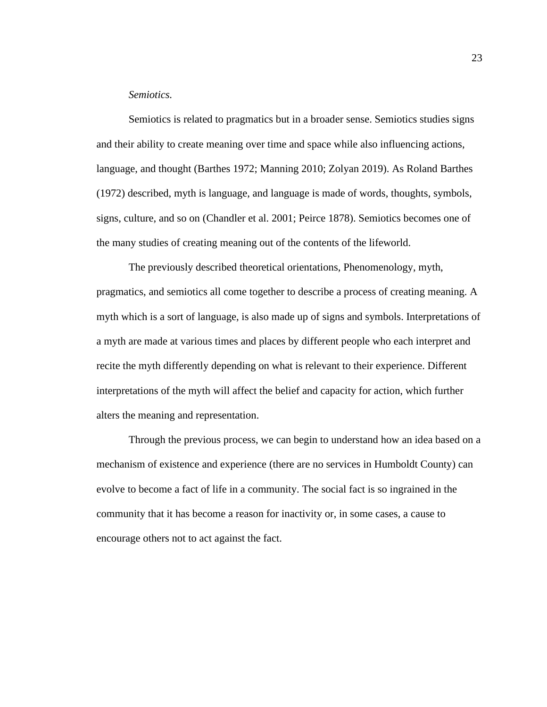## *Semiotics.*

<span id="page-27-0"></span>Semiotics is related to pragmatics but in a broader sense. Semiotics studies signs and their ability to create meaning over time and space while also influencing actions, language, and thought (Barthes 1972; Manning 2010; Zolyan 2019). As Roland Barthes (1972) described, myth is language, and language is made of words, thoughts, symbols, signs, culture, and so on (Chandler et al. 2001; Peirce 1878). Semiotics becomes one of the many studies of creating meaning out of the contents of the lifeworld.

The previously described theoretical orientations, Phenomenology, myth, pragmatics, and semiotics all come together to describe a process of creating meaning. A myth which is a sort of language, is also made up of signs and symbols. Interpretations of a myth are made at various times and places by different people who each interpret and recite the myth differently depending on what is relevant to their experience. Different interpretations of the myth will affect the belief and capacity for action, which further alters the meaning and representation.

Through the previous process, we can begin to understand how an idea based on a mechanism of existence and experience (there are no services in Humboldt County) can evolve to become a fact of life in a community. The social fact is so ingrained in the community that it has become a reason for inactivity or, in some cases, a cause to encourage others not to act against the fact.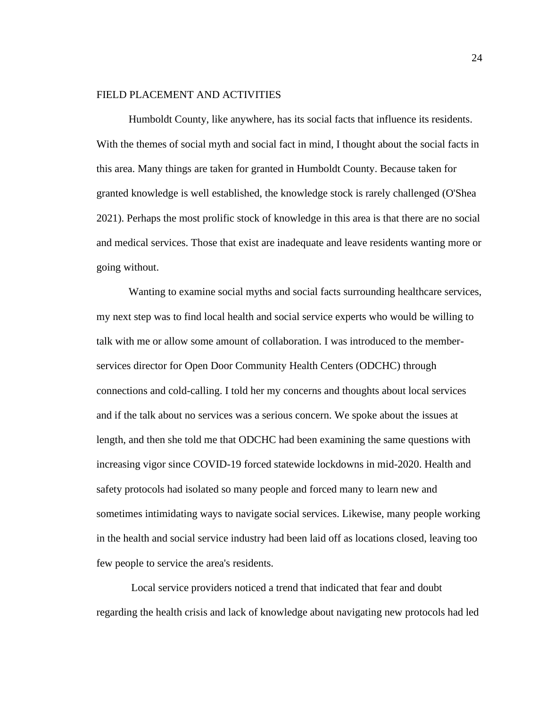#### <span id="page-28-0"></span>FIELD PLACEMENT AND ACTIVITIES

Humboldt County, like anywhere, has its social facts that influence its residents. With the themes of social myth and social fact in mind, I thought about the social facts in this area. Many things are taken for granted in Humboldt County. Because taken for granted knowledge is well established, the knowledge stock is rarely challenged (O'Shea 2021). Perhaps the most prolific stock of knowledge in this area is that there are no social and medical services. Those that exist are inadequate and leave residents wanting more or going without.

Wanting to examine social myths and social facts surrounding healthcare services, my next step was to find local health and social service experts who would be willing to talk with me or allow some amount of collaboration. I was introduced to the memberservices director for Open Door Community Health Centers (ODCHC) through connections and cold-calling. I told her my concerns and thoughts about local services and if the talk about no services was a serious concern. We spoke about the issues at length, and then she told me that ODCHC had been examining the same questions with increasing vigor since COVID-19 forced statewide lockdowns in mid-2020. Health and safety protocols had isolated so many people and forced many to learn new and sometimes intimidating ways to navigate social services. Likewise, many people working in the health and social service industry had been laid off as locations closed, leaving too few people to service the area's residents.

Local service providers noticed a trend that indicated that fear and doubt regarding the health crisis and lack of knowledge about navigating new protocols had led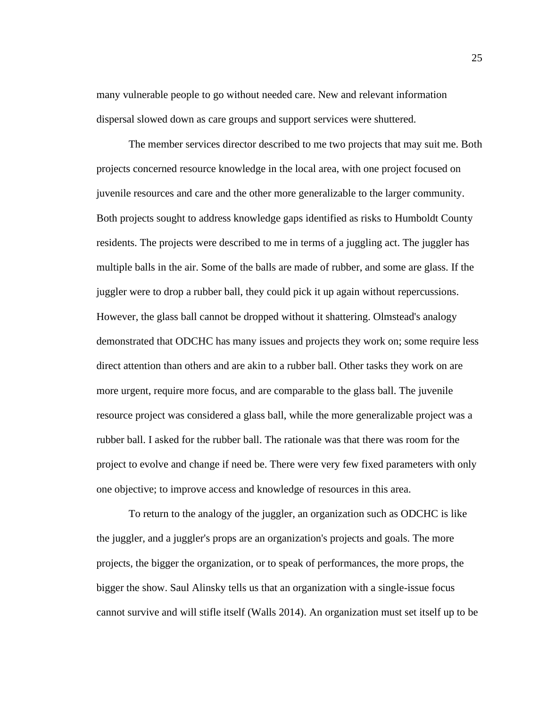many vulnerable people to go without needed care. New and relevant information dispersal slowed down as care groups and support services were shuttered.

The member services director described to me two projects that may suit me. Both projects concerned resource knowledge in the local area, with one project focused on juvenile resources and care and the other more generalizable to the larger community. Both projects sought to address knowledge gaps identified as risks to Humboldt County residents. The projects were described to me in terms of a juggling act. The juggler has multiple balls in the air. Some of the balls are made of rubber, and some are glass. If the juggler were to drop a rubber ball, they could pick it up again without repercussions. However, the glass ball cannot be dropped without it shattering. Olmstead's analogy demonstrated that ODCHC has many issues and projects they work on; some require less direct attention than others and are akin to a rubber ball. Other tasks they work on are more urgent, require more focus, and are comparable to the glass ball. The juvenile resource project was considered a glass ball, while the more generalizable project was a rubber ball. I asked for the rubber ball. The rationale was that there was room for the project to evolve and change if need be. There were very few fixed parameters with only one objective; to improve access and knowledge of resources in this area.

To return to the analogy of the juggler, an organization such as ODCHC is like the juggler, and a juggler's props are an organization's projects and goals. The more projects, the bigger the organization, or to speak of performances, the more props, the bigger the show. Saul Alinsky tells us that an organization with a single-issue focus cannot survive and will stifle itself (Walls 2014). An organization must set itself up to be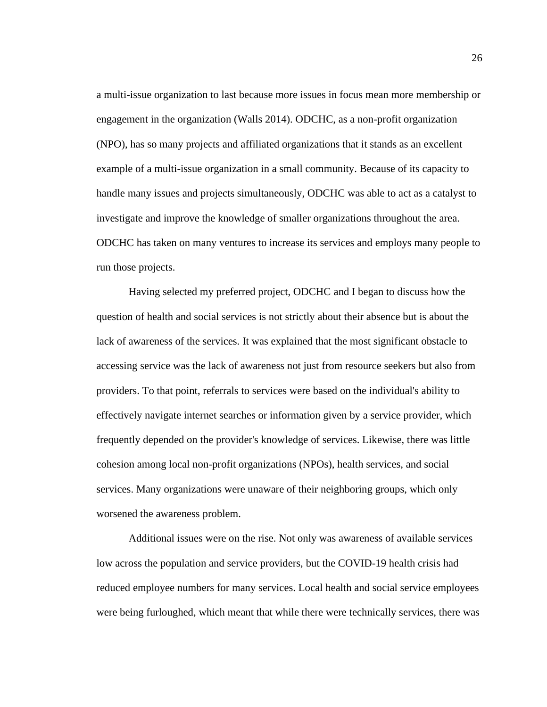a multi-issue organization to last because more issues in focus mean more membership or engagement in the organization (Walls 2014). ODCHC, as a non-profit organization (NPO), has so many projects and affiliated organizations that it stands as an excellent example of a multi-issue organization in a small community. Because of its capacity to handle many issues and projects simultaneously, ODCHC was able to act as a catalyst to investigate and improve the knowledge of smaller organizations throughout the area. ODCHC has taken on many ventures to increase its services and employs many people to run those projects.

Having selected my preferred project, ODCHC and I began to discuss how the question of health and social services is not strictly about their absence but is about the lack of awareness of the services. It was explained that the most significant obstacle to accessing service was the lack of awareness not just from resource seekers but also from providers. To that point, referrals to services were based on the individual's ability to effectively navigate internet searches or information given by a service provider, which frequently depended on the provider's knowledge of services. Likewise, there was little cohesion among local non-profit organizations (NPOs), health services, and social services. Many organizations were unaware of their neighboring groups, which only worsened the awareness problem.

Additional issues were on the rise. Not only was awareness of available services low across the population and service providers, but the COVID-19 health crisis had reduced employee numbers for many services. Local health and social service employees were being furloughed, which meant that while there were technically services, there was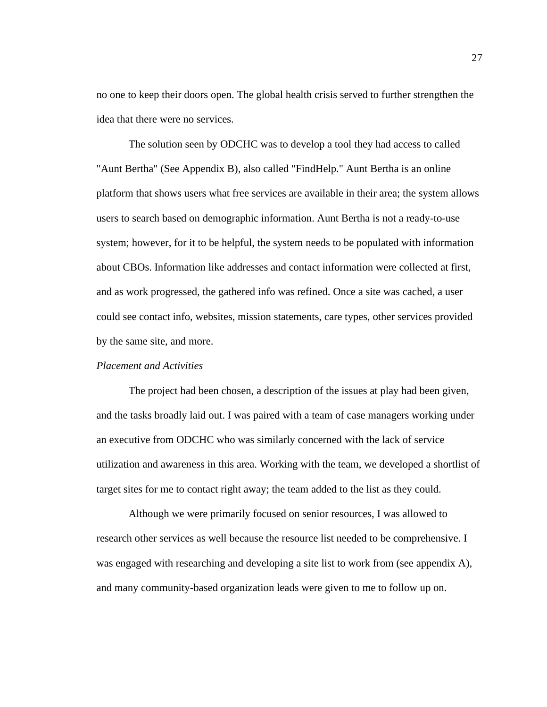no one to keep their doors open. The global health crisis served to further strengthen the idea that there were no services.

The solution seen by ODCHC was to develop a tool they had access to called "Aunt Bertha" (See Appendix B), also called "FindHelp." Aunt Bertha is an online platform that shows users what free services are available in their area; the system allows users to search based on demographic information. Aunt Bertha is not a ready-to-use system; however, for it to be helpful, the system needs to be populated with information about CBOs. Information like addresses and contact information were collected at first, and as work progressed, the gathered info was refined. Once a site was cached, a user could see contact info, websites, mission statements, care types, other services provided by the same site, and more.

#### <span id="page-31-0"></span>*Placement and Activities*

The project had been chosen, a description of the issues at play had been given, and the tasks broadly laid out. I was paired with a team of case managers working under an executive from ODCHC who was similarly concerned with the lack of service utilization and awareness in this area. Working with the team, we developed a shortlist of target sites for me to contact right away; the team added to the list as they could.

Although we were primarily focused on senior resources, I was allowed to research other services as well because the resource list needed to be comprehensive. I was engaged with researching and developing a site list to work from (see appendix A), and many community-based organization leads were given to me to follow up on.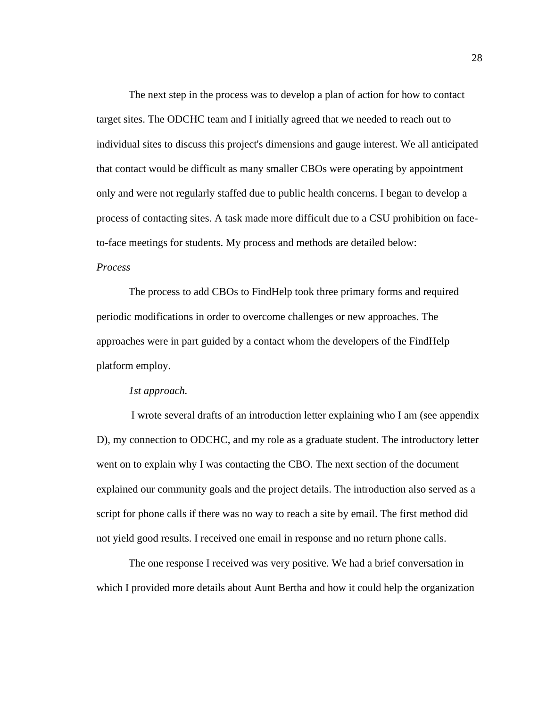The next step in the process was to develop a plan of action for how to contact target sites. The ODCHC team and I initially agreed that we needed to reach out to individual sites to discuss this project's dimensions and gauge interest. We all anticipated that contact would be difficult as many smaller CBOs were operating by appointment only and were not regularly staffed due to public health concerns. I began to develop a process of contacting sites. A task made more difficult due to a CSU prohibition on faceto-face meetings for students. My process and methods are detailed below:

## <span id="page-32-0"></span>*Process*

The process to add CBOs to FindHelp took three primary forms and required periodic modifications in order to overcome challenges or new approaches. The approaches were in part guided by a contact whom the developers of the FindHelp platform employ.

#### *1st approach.*

<span id="page-32-1"></span>I wrote several drafts of an introduction letter explaining who I am (see appendix D), my connection to ODCHC, and my role as a graduate student. The introductory letter went on to explain why I was contacting the CBO. The next section of the document explained our community goals and the project details. The introduction also served as a script for phone calls if there was no way to reach a site by email. The first method did not yield good results. I received one email in response and no return phone calls.

The one response I received was very positive. We had a brief conversation in which I provided more details about Aunt Bertha and how it could help the organization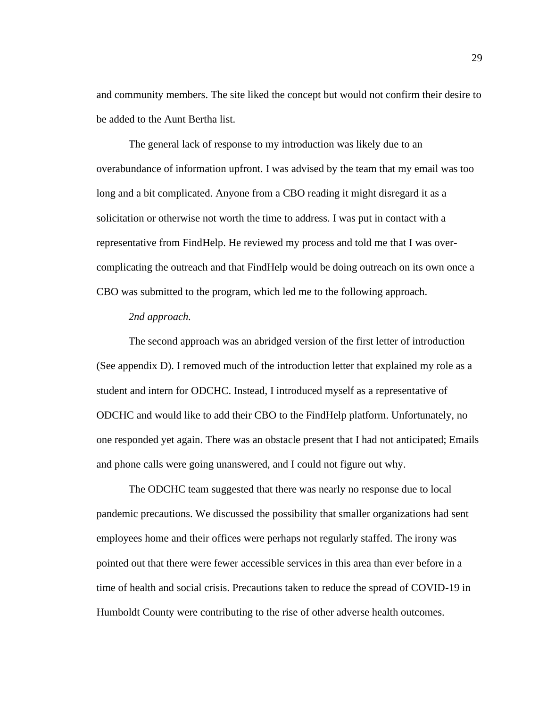and community members. The site liked the concept but would not confirm their desire to be added to the Aunt Bertha list.

The general lack of response to my introduction was likely due to an overabundance of information upfront. I was advised by the team that my email was too long and a bit complicated. Anyone from a CBO reading it might disregard it as a solicitation or otherwise not worth the time to address. I was put in contact with a representative from FindHelp. He reviewed my process and told me that I was overcomplicating the outreach and that FindHelp would be doing outreach on its own once a CBO was submitted to the program, which led me to the following approach.

#### *2nd approach.*

<span id="page-33-0"></span>The second approach was an abridged version of the first letter of introduction (See appendix D). I removed much of the introduction letter that explained my role as a student and intern for ODCHC. Instead, I introduced myself as a representative of ODCHC and would like to add their CBO to the FindHelp platform. Unfortunately, no one responded yet again. There was an obstacle present that I had not anticipated; Emails and phone calls were going unanswered, and I could not figure out why.

The ODCHC team suggested that there was nearly no response due to local pandemic precautions. We discussed the possibility that smaller organizations had sent employees home and their offices were perhaps not regularly staffed. The irony was pointed out that there were fewer accessible services in this area than ever before in a time of health and social crisis. Precautions taken to reduce the spread of COVID-19 in Humboldt County were contributing to the rise of other adverse health outcomes.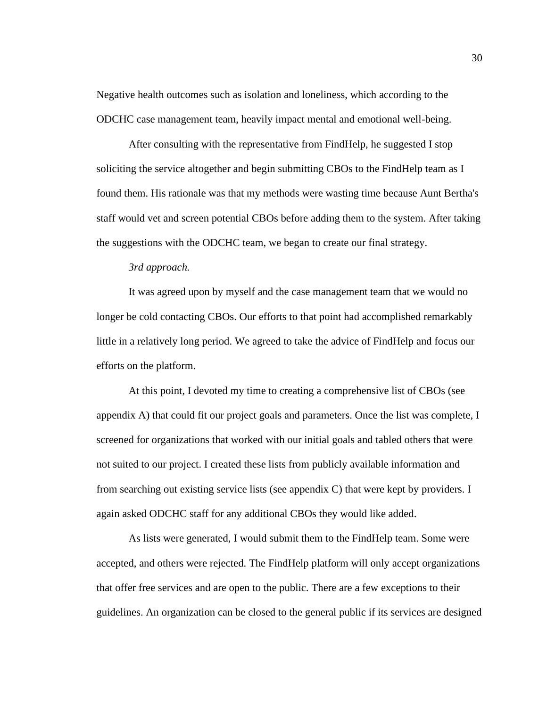Negative health outcomes such as isolation and loneliness, which according to the ODCHC case management team, heavily impact mental and emotional well-being.

After consulting with the representative from FindHelp, he suggested I stop soliciting the service altogether and begin submitting CBOs to the FindHelp team as I found them. His rationale was that my methods were wasting time because Aunt Bertha's staff would vet and screen potential CBOs before adding them to the system. After taking the suggestions with the ODCHC team, we began to create our final strategy.

## *3rd approach.*

<span id="page-34-0"></span>It was agreed upon by myself and the case management team that we would no longer be cold contacting CBOs. Our efforts to that point had accomplished remarkably little in a relatively long period. We agreed to take the advice of FindHelp and focus our efforts on the platform.

At this point, I devoted my time to creating a comprehensive list of CBOs (see appendix A) that could fit our project goals and parameters. Once the list was complete, I screened for organizations that worked with our initial goals and tabled others that were not suited to our project. I created these lists from publicly available information and from searching out existing service lists (see appendix C) that were kept by providers. I again asked ODCHC staff for any additional CBOs they would like added.

As lists were generated, I would submit them to the FindHelp team. Some were accepted, and others were rejected. The FindHelp platform will only accept organizations that offer free services and are open to the public. There are a few exceptions to their guidelines. An organization can be closed to the general public if its services are designed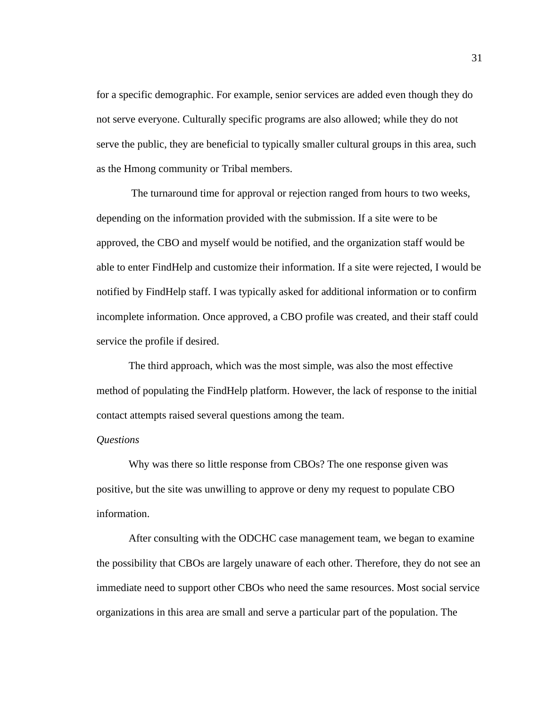for a specific demographic. For example, senior services are added even though they do not serve everyone. Culturally specific programs are also allowed; while they do not serve the public, they are beneficial to typically smaller cultural groups in this area, such as the Hmong community or Tribal members.

The turnaround time for approval or rejection ranged from hours to two weeks, depending on the information provided with the submission. If a site were to be approved, the CBO and myself would be notified, and the organization staff would be able to enter FindHelp and customize their information. If a site were rejected, I would be notified by FindHelp staff. I was typically asked for additional information or to confirm incomplete information. Once approved, a CBO profile was created, and their staff could service the profile if desired.

The third approach, which was the most simple, was also the most effective method of populating the FindHelp platform. However, the lack of response to the initial contact attempts raised several questions among the team.

## <span id="page-35-0"></span>*Questions*

Why was there so little response from CBOs? The one response given was positive, but the site was unwilling to approve or deny my request to populate CBO information.

After consulting with the ODCHC case management team, we began to examine the possibility that CBOs are largely unaware of each other. Therefore, they do not see an immediate need to support other CBOs who need the same resources. Most social service organizations in this area are small and serve a particular part of the population. The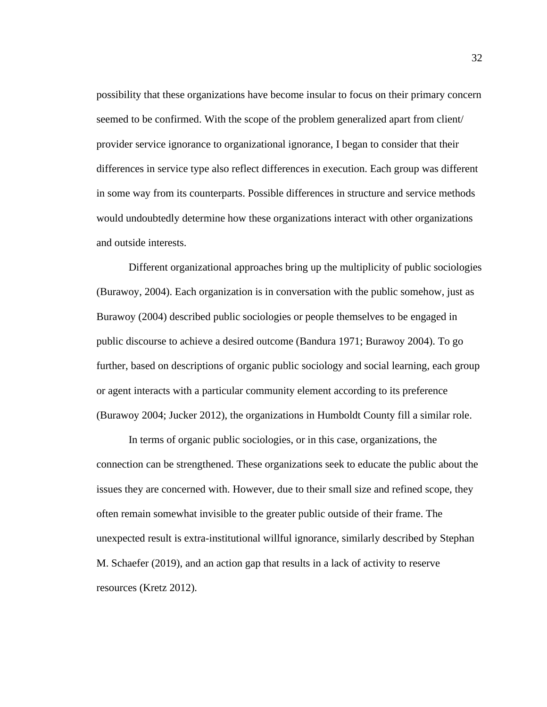possibility that these organizations have become insular to focus on their primary concern seemed to be confirmed. With the scope of the problem generalized apart from client/ provider service ignorance to organizational ignorance, I began to consider that their differences in service type also reflect differences in execution. Each group was different in some way from its counterparts. Possible differences in structure and service methods would undoubtedly determine how these organizations interact with other organizations and outside interests.

Different organizational approaches bring up the multiplicity of public sociologies (Burawoy, 2004). Each organization is in conversation with the public somehow, just as Burawoy (2004) described public sociologies or people themselves to be engaged in public discourse to achieve a desired outcome (Bandura 1971; Burawoy 2004). To go further, based on descriptions of organic public sociology and social learning, each group or agent interacts with a particular community element according to its preference (Burawoy 2004; Jucker 2012), the organizations in Humboldt County fill a similar role.

In terms of organic public sociologies, or in this case, organizations, the connection can be strengthened. These organizations seek to educate the public about the issues they are concerned with. However, due to their small size and refined scope, they often remain somewhat invisible to the greater public outside of their frame. The unexpected result is extra-institutional willful ignorance, similarly described by Stephan M. Schaefer (2019), and an action gap that results in a lack of activity to reserve resources (Kretz 2012).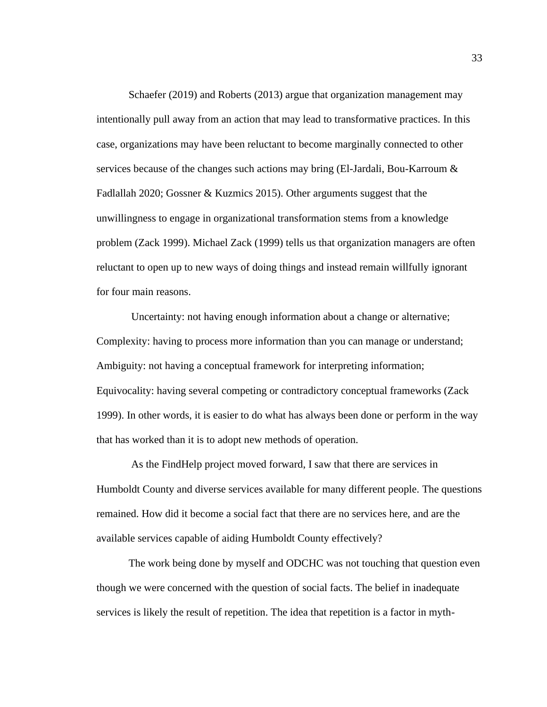Schaefer (2019) and Roberts (2013) argue that organization management may intentionally pull away from an action that may lead to transformative practices. In this case, organizations may have been reluctant to become marginally connected to other services because of the changes such actions may bring (El-Jardali, Bou-Karroum  $\&$ Fadlallah 2020; Gossner & Kuzmics 2015). Other arguments suggest that the unwillingness to engage in organizational transformation stems from a knowledge problem (Zack 1999). Michael Zack (1999) tells us that organization managers are often reluctant to open up to new ways of doing things and instead remain willfully ignorant for four main reasons.

Uncertainty: not having enough information about a change or alternative; Complexity: having to process more information than you can manage or understand; Ambiguity: not having a conceptual framework for interpreting information; Equivocality: having several competing or contradictory conceptual frameworks (Zack 1999). In other words, it is easier to do what has always been done or perform in the way that has worked than it is to adopt new methods of operation.

As the FindHelp project moved forward, I saw that there are services in Humboldt County and diverse services available for many different people. The questions remained. How did it become a social fact that there are no services here, and are the available services capable of aiding Humboldt County effectively?

The work being done by myself and ODCHC was not touching that question even though we were concerned with the question of social facts. The belief in inadequate services is likely the result of repetition. The idea that repetition is a factor in myth-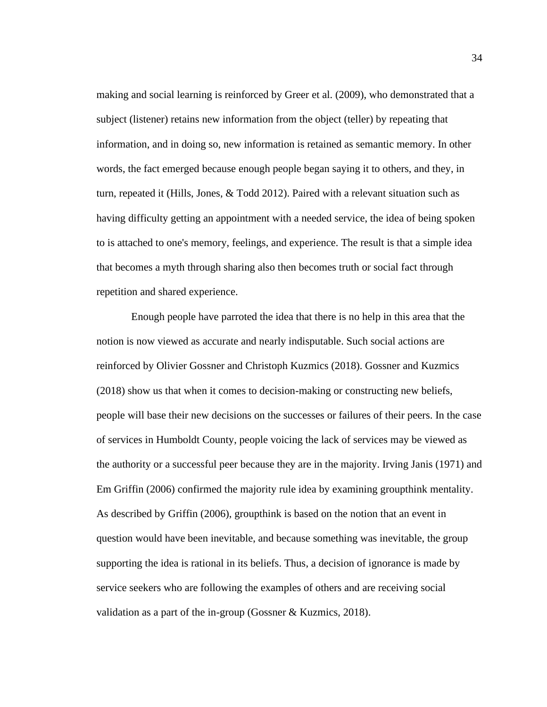making and social learning is reinforced by Greer et al. (2009), who demonstrated that a subject (listener) retains new information from the object (teller) by repeating that information, and in doing so, new information is retained as semantic memory. In other words, the fact emerged because enough people began saying it to others, and they, in turn, repeated it (Hills, Jones, & Todd 2012). Paired with a relevant situation such as having difficulty getting an appointment with a needed service, the idea of being spoken to is attached to one's memory, feelings, and experience. The result is that a simple idea that becomes a myth through sharing also then becomes truth or social fact through repetition and shared experience.

Enough people have parroted the idea that there is no help in this area that the notion is now viewed as accurate and nearly indisputable. Such social actions are reinforced by Olivier Gossner and Christoph Kuzmics (2018). Gossner and Kuzmics (2018) show us that when it comes to decision-making or constructing new beliefs, people will base their new decisions on the successes or failures of their peers. In the case of services in Humboldt County, people voicing the lack of services may be viewed as the authority or a successful peer because they are in the majority. Irving Janis (1971) and Em Griffin (2006) confirmed the majority rule idea by examining groupthink mentality. As described by Griffin (2006), groupthink is based on the notion that an event in question would have been inevitable, and because something was inevitable, the group supporting the idea is rational in its beliefs. Thus, a decision of ignorance is made by service seekers who are following the examples of others and are receiving social validation as a part of the in-group (Gossner & Kuzmics, 2018).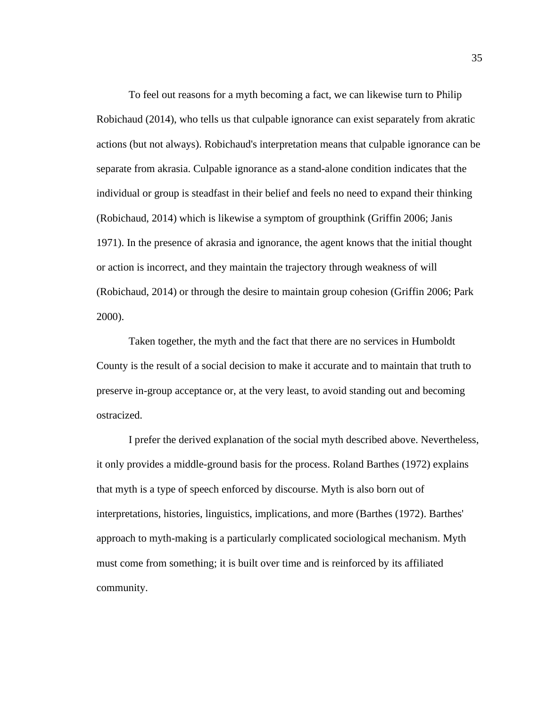To feel out reasons for a myth becoming a fact, we can likewise turn to Philip Robichaud (2014), who tells us that culpable ignorance can exist separately from akratic actions (but not always). Robichaud's interpretation means that culpable ignorance can be separate from akrasia. Culpable ignorance as a stand-alone condition indicates that the individual or group is steadfast in their belief and feels no need to expand their thinking (Robichaud, 2014) which is likewise a symptom of groupthink (Griffin 2006; Janis 1971). In the presence of akrasia and ignorance, the agent knows that the initial thought or action is incorrect, and they maintain the trajectory through weakness of will (Robichaud, 2014) or through the desire to maintain group cohesion (Griffin 2006; Park 2000).

Taken together, the myth and the fact that there are no services in Humboldt County is the result of a social decision to make it accurate and to maintain that truth to preserve in-group acceptance or, at the very least, to avoid standing out and becoming ostracized.

I prefer the derived explanation of the social myth described above. Nevertheless, it only provides a middle-ground basis for the process. Roland Barthes (1972) explains that myth is a type of speech enforced by discourse. Myth is also born out of interpretations, histories, linguistics, implications, and more (Barthes (1972). Barthes' approach to myth-making is a particularly complicated sociological mechanism. Myth must come from something; it is built over time and is reinforced by its affiliated community.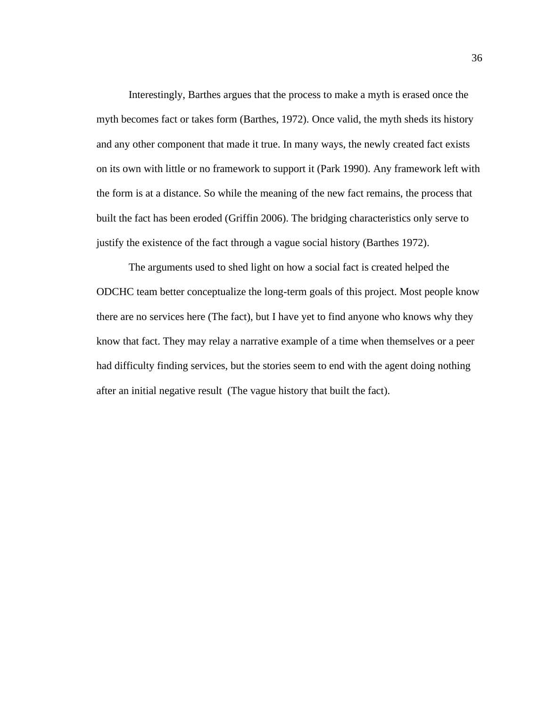Interestingly, Barthes argues that the process to make a myth is erased once the myth becomes fact or takes form (Barthes, 1972). Once valid, the myth sheds its history and any other component that made it true. In many ways, the newly created fact exists on its own with little or no framework to support it (Park 1990). Any framework left with the form is at a distance. So while the meaning of the new fact remains, the process that built the fact has been eroded (Griffin 2006). The bridging characteristics only serve to justify the existence of the fact through a vague social history (Barthes 1972).

The arguments used to shed light on how a social fact is created helped the ODCHC team better conceptualize the long-term goals of this project. Most people know there are no services here (The fact), but I have yet to find anyone who knows why they know that fact. They may relay a narrative example of a time when themselves or a peer had difficulty finding services, but the stories seem to end with the agent doing nothing after an initial negative result (The vague history that built the fact).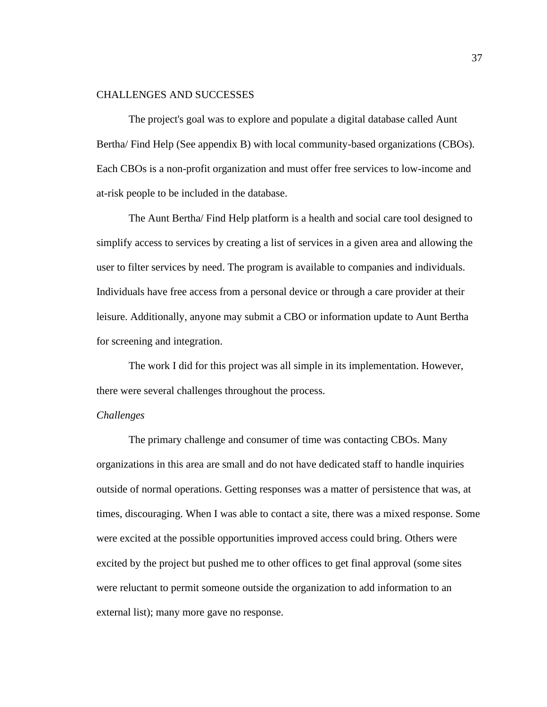## <span id="page-41-0"></span>CHALLENGES AND SUCCESSES

The project's goal was to explore and populate a digital database called Aunt Bertha/ Find Help (See appendix B) with local community-based organizations (CBOs). Each CBOs is a non-profit organization and must offer free services to low-income and at-risk people to be included in the database.

The Aunt Bertha/ Find Help platform is a health and social care tool designed to simplify access to services by creating a list of services in a given area and allowing the user to filter services by need. The program is available to companies and individuals. Individuals have free access from a personal device or through a care provider at their leisure. Additionally, anyone may submit a CBO or information update to Aunt Bertha for screening and integration.

The work I did for this project was all simple in its implementation. However, there were several challenges throughout the process.

#### <span id="page-41-1"></span>*Challenges*

The primary challenge and consumer of time was contacting CBOs. Many organizations in this area are small and do not have dedicated staff to handle inquiries outside of normal operations. Getting responses was a matter of persistence that was, at times, discouraging. When I was able to contact a site, there was a mixed response. Some were excited at the possible opportunities improved access could bring. Others were excited by the project but pushed me to other offices to get final approval (some sites were reluctant to permit someone outside the organization to add information to an external list); many more gave no response.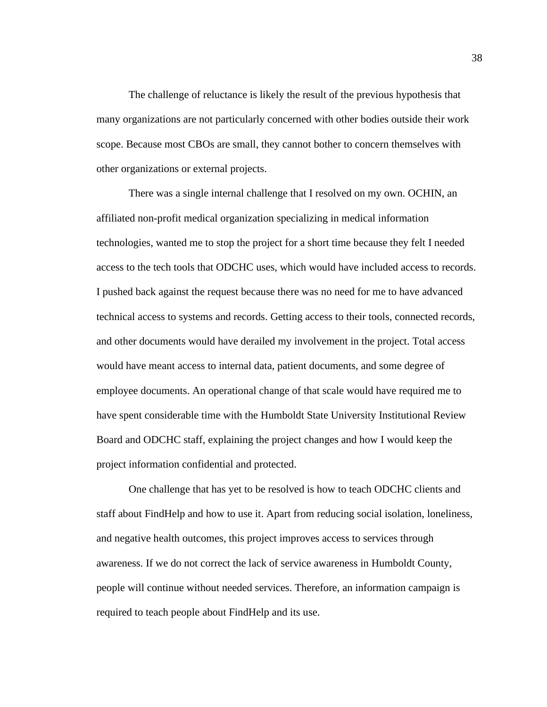The challenge of reluctance is likely the result of the previous hypothesis that many organizations are not particularly concerned with other bodies outside their work scope. Because most CBOs are small, they cannot bother to concern themselves with other organizations or external projects.

There was a single internal challenge that I resolved on my own. OCHIN, an affiliated non-profit medical organization specializing in medical information technologies, wanted me to stop the project for a short time because they felt I needed access to the tech tools that ODCHC uses, which would have included access to records. I pushed back against the request because there was no need for me to have advanced technical access to systems and records. Getting access to their tools, connected records, and other documents would have derailed my involvement in the project. Total access would have meant access to internal data, patient documents, and some degree of employee documents. An operational change of that scale would have required me to have spent considerable time with the Humboldt State University Institutional Review Board and ODCHC staff, explaining the project changes and how I would keep the project information confidential and protected.

One challenge that has yet to be resolved is how to teach ODCHC clients and staff about FindHelp and how to use it. Apart from reducing social isolation, loneliness, and negative health outcomes, this project improves access to services through awareness. If we do not correct the lack of service awareness in Humboldt County, people will continue without needed services. Therefore, an information campaign is required to teach people about FindHelp and its use.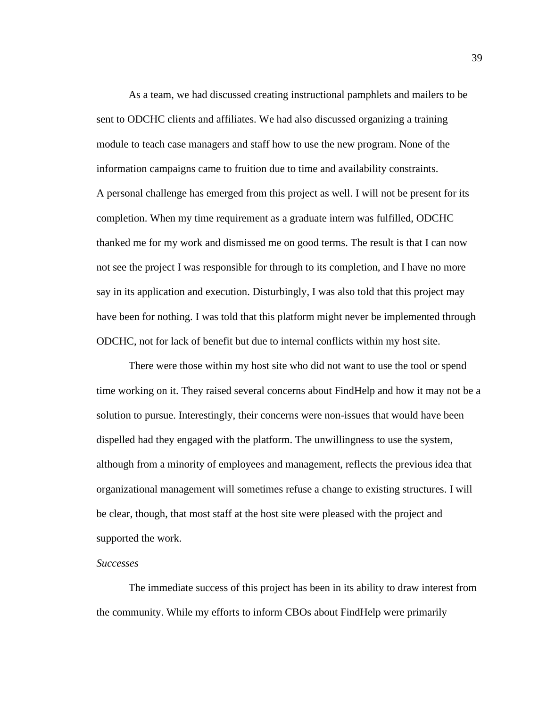As a team, we had discussed creating instructional pamphlets and mailers to be sent to ODCHC clients and affiliates. We had also discussed organizing a training module to teach case managers and staff how to use the new program. None of the information campaigns came to fruition due to time and availability constraints. A personal challenge has emerged from this project as well. I will not be present for its completion. When my time requirement as a graduate intern was fulfilled, ODCHC thanked me for my work and dismissed me on good terms. The result is that I can now not see the project I was responsible for through to its completion, and I have no more say in its application and execution. Disturbingly, I was also told that this project may have been for nothing. I was told that this platform might never be implemented through ODCHC, not for lack of benefit but due to internal conflicts within my host site.

There were those within my host site who did not want to use the tool or spend time working on it. They raised several concerns about FindHelp and how it may not be a solution to pursue. Interestingly, their concerns were non-issues that would have been dispelled had they engaged with the platform. The unwillingness to use the system, although from a minority of employees and management, reflects the previous idea that organizational management will sometimes refuse a change to existing structures. I will be clear, though, that most staff at the host site were pleased with the project and supported the work.

#### <span id="page-43-0"></span>*Successes*

The immediate success of this project has been in its ability to draw interest from the community. While my efforts to inform CBOs about FindHelp were primarily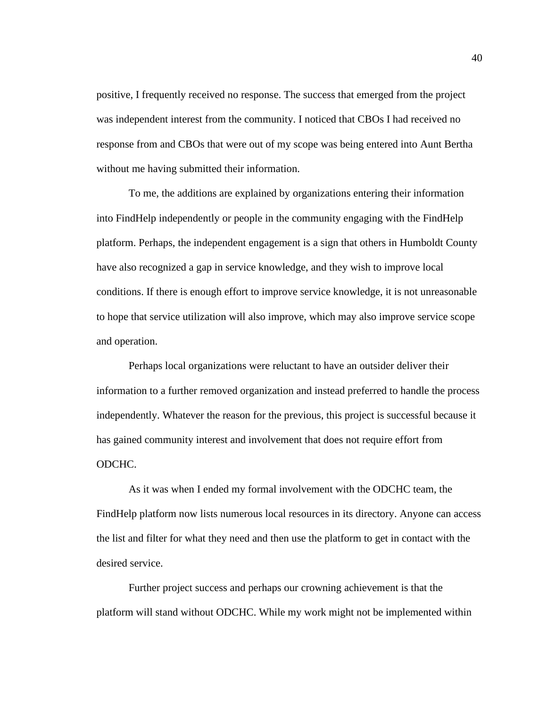positive, I frequently received no response. The success that emerged from the project was independent interest from the community. I noticed that CBOs I had received no response from and CBOs that were out of my scope was being entered into Aunt Bertha without me having submitted their information.

To me, the additions are explained by organizations entering their information into FindHelp independently or people in the community engaging with the FindHelp platform. Perhaps, the independent engagement is a sign that others in Humboldt County have also recognized a gap in service knowledge, and they wish to improve local conditions. If there is enough effort to improve service knowledge, it is not unreasonable to hope that service utilization will also improve, which may also improve service scope and operation.

Perhaps local organizations were reluctant to have an outsider deliver their information to a further removed organization and instead preferred to handle the process independently. Whatever the reason for the previous, this project is successful because it has gained community interest and involvement that does not require effort from ODCHC.

As it was when I ended my formal involvement with the ODCHC team, the FindHelp platform now lists numerous local resources in its directory. Anyone can access the list and filter for what they need and then use the platform to get in contact with the desired service.

Further project success and perhaps our crowning achievement is that the platform will stand without ODCHC. While my work might not be implemented within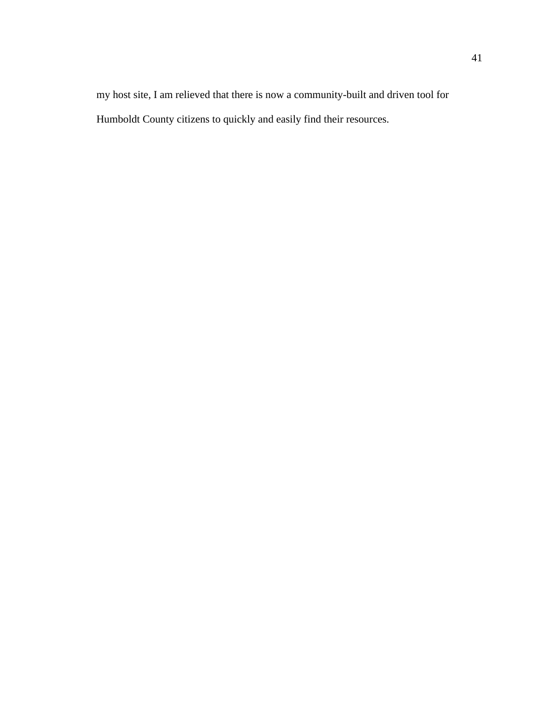my host site, I am relieved that there is now a community-built and driven tool for Humboldt County citizens to quickly and easily find their resources.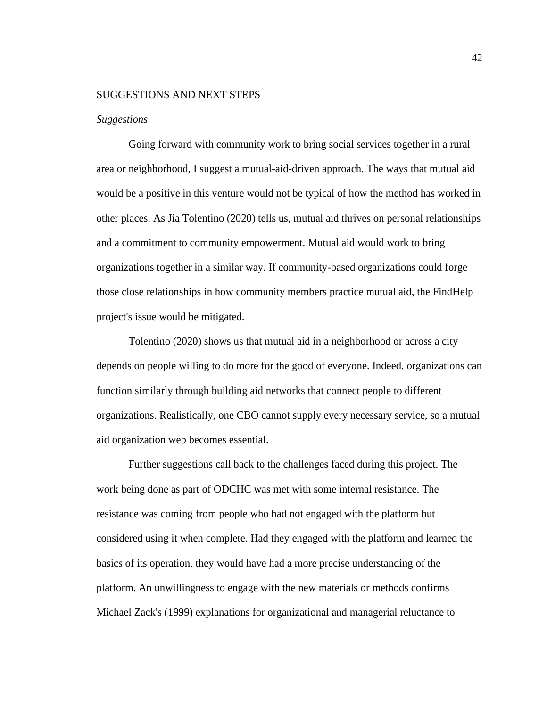## <span id="page-46-0"></span>SUGGESTIONS AND NEXT STEPS

#### <span id="page-46-1"></span>*Suggestions*

Going forward with community work to bring social services together in a rural area or neighborhood, I suggest a mutual-aid-driven approach. The ways that mutual aid would be a positive in this venture would not be typical of how the method has worked in other places. As Jia Tolentino (2020) tells us, mutual aid thrives on personal relationships and a commitment to community empowerment. Mutual aid would work to bring organizations together in a similar way. If community-based organizations could forge those close relationships in how community members practice mutual aid, the FindHelp project's issue would be mitigated.

Tolentino (2020) shows us that mutual aid in a neighborhood or across a city depends on people willing to do more for the good of everyone. Indeed, organizations can function similarly through building aid networks that connect people to different organizations. Realistically, one CBO cannot supply every necessary service, so a mutual aid organization web becomes essential.

Further suggestions call back to the challenges faced during this project. The work being done as part of ODCHC was met with some internal resistance. The resistance was coming from people who had not engaged with the platform but considered using it when complete. Had they engaged with the platform and learned the basics of its operation, they would have had a more precise understanding of the platform. An unwillingness to engage with the new materials or methods confirms Michael Zack's (1999) explanations for organizational and managerial reluctance to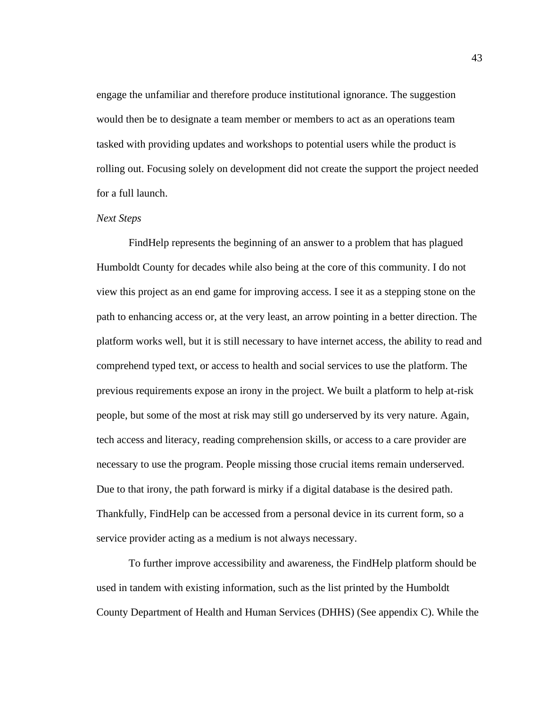engage the unfamiliar and therefore produce institutional ignorance. The suggestion would then be to designate a team member or members to act as an operations team tasked with providing updates and workshops to potential users while the product is rolling out. Focusing solely on development did not create the support the project needed for a full launch.

## <span id="page-47-0"></span>*Next Steps*

FindHelp represents the beginning of an answer to a problem that has plagued Humboldt County for decades while also being at the core of this community. I do not view this project as an end game for improving access. I see it as a stepping stone on the path to enhancing access or, at the very least, an arrow pointing in a better direction. The platform works well, but it is still necessary to have internet access, the ability to read and comprehend typed text, or access to health and social services to use the platform. The previous requirements expose an irony in the project. We built a platform to help at-risk people, but some of the most at risk may still go underserved by its very nature. Again, tech access and literacy, reading comprehension skills, or access to a care provider are necessary to use the program. People missing those crucial items remain underserved. Due to that irony, the path forward is mirky if a digital database is the desired path. Thankfully, FindHelp can be accessed from a personal device in its current form, so a service provider acting as a medium is not always necessary.

To further improve accessibility and awareness, the FindHelp platform should be used in tandem with existing information, such as the list printed by the Humboldt County Department of Health and Human Services (DHHS) (See appendix C). While the

43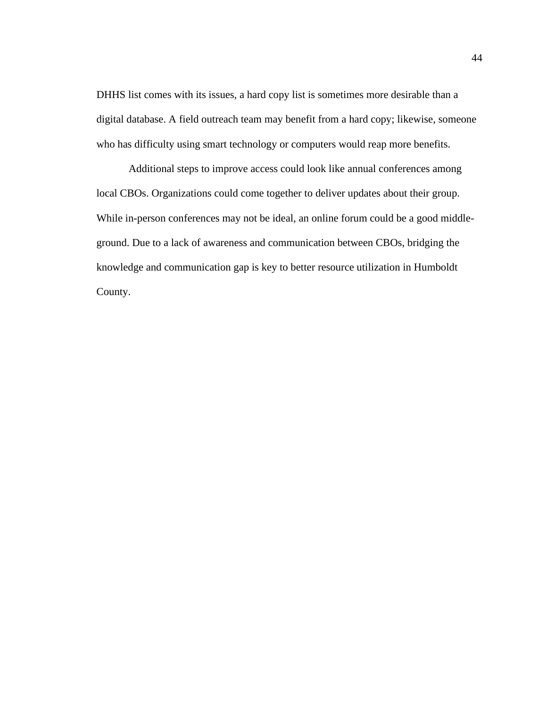DHHS list comes with its issues, a hard copy list is sometimes more desirable than a digital database. A field outreach team may benefit from a hard copy; likewise, someone who has difficulty using smart technology or computers would reap more benefits.

Additional steps to improve access could look like annual conferences among local CBOs. Organizations could come together to deliver updates about their group. While in-person conferences may not be ideal, an online forum could be a good middleground. Due to a lack of awareness and communication between CBOs, bridging the knowledge and communication gap is key to better resource utilization in Humboldt County.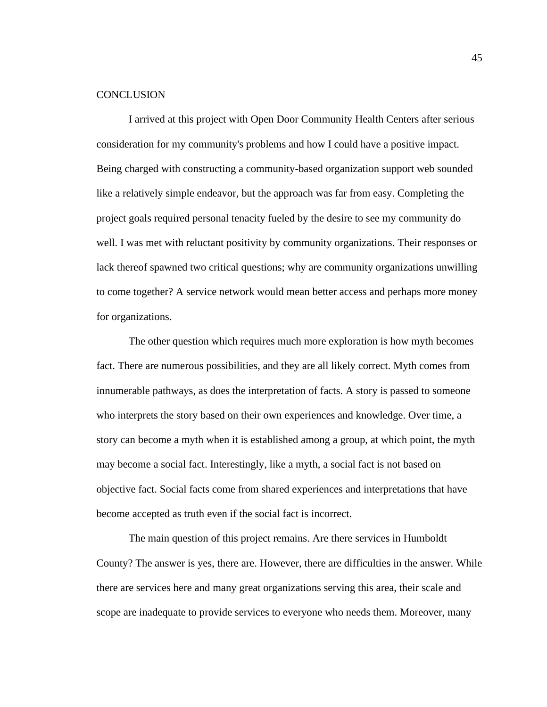## <span id="page-49-0"></span>**CONCLUSION**

I arrived at this project with Open Door Community Health Centers after serious consideration for my community's problems and how I could have a positive impact. Being charged with constructing a community-based organization support web sounded like a relatively simple endeavor, but the approach was far from easy. Completing the project goals required personal tenacity fueled by the desire to see my community do well. I was met with reluctant positivity by community organizations. Their responses or lack thereof spawned two critical questions; why are community organizations unwilling to come together? A service network would mean better access and perhaps more money for organizations.

The other question which requires much more exploration is how myth becomes fact. There are numerous possibilities, and they are all likely correct. Myth comes from innumerable pathways, as does the interpretation of facts. A story is passed to someone who interprets the story based on their own experiences and knowledge. Over time, a story can become a myth when it is established among a group, at which point, the myth may become a social fact. Interestingly, like a myth, a social fact is not based on objective fact. Social facts come from shared experiences and interpretations that have become accepted as truth even if the social fact is incorrect.

The main question of this project remains. Are there services in Humboldt County? The answer is yes, there are. However, there are difficulties in the answer. While there are services here and many great organizations serving this area, their scale and scope are inadequate to provide services to everyone who needs them. Moreover, many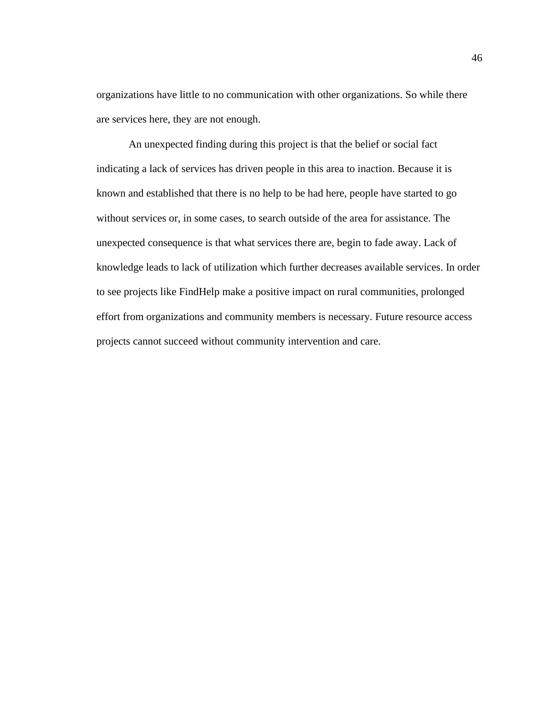organizations have little to no communication with other organizations. So while there are services here, they are not enough.

An unexpected finding during this project is that the belief or social fact indicating a lack of services has driven people in this area to inaction. Because it is known and established that there is no help to be had here, people have started to go without services or, in some cases, to search outside of the area for assistance. The unexpected consequence is that what services there are, begin to fade away. Lack of knowledge leads to lack of utilization which further decreases available services. In order to see projects like FindHelp make a positive impact on rural communities, prolonged effort from organizations and community members is necessary. Future resource access projects cannot succeed without community intervention and care.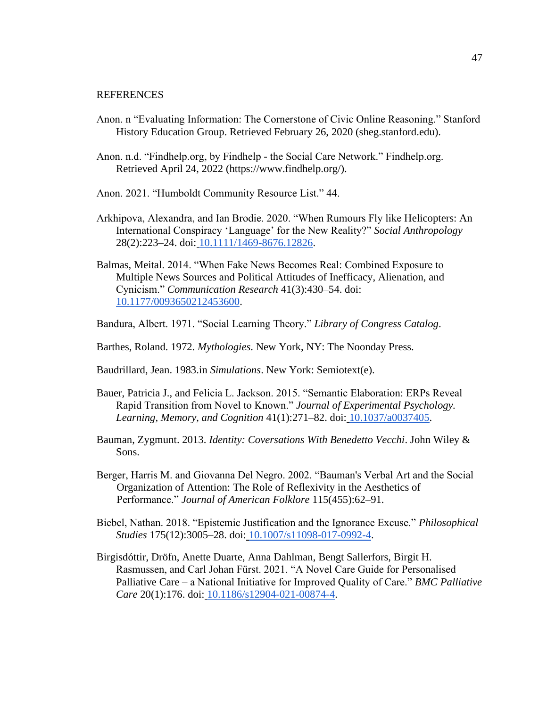## <span id="page-51-0"></span>REFERENCES

- Anon. n "Evaluating Information: The Cornerstone of Civic Online Reasoning." Stanford History Education Group. Retrieved February 26, 2020 (sheg.stanford.edu).
- Anon. n.d. "Findhelp.org, by Findhelp the Social Care Network." Findhelp.org. Retrieved April 24, 2022 (https://www.findhelp.org/).
- Anon. 2021. "Humboldt Community Resource List." 44.
- Arkhipova, Alexandra, and Ian Brodie. 2020. "When Rumours Fly like Helicopters: An International Conspiracy 'Language' for the New Reality?" *Social Anthropology* 28(2):223–24. doi: [10.1111/1469-8676.12826.](https://doi.org/10.1111/1469-8676.12826)
- Balmas, Meital. 2014. "When Fake News Becomes Real: Combined Exposure to Multiple News Sources and Political Attitudes of Inefficacy, Alienation, and Cynicism." *Communication Research* 41(3):430–54. doi[:](https://doi.org/10.1177/0093650212453600) [10.1177/0093650212453600.](https://doi.org/10.1177/0093650212453600)
- Bandura, Albert. 1971. "Social Learning Theory." *Library of Congress Catalog*.
- Barthes, Roland. 1972. *Mythologies*. New York, NY: The Noonday Press.
- Baudrillard, Jean. 1983.in *Simulations*. New York: Semiotext(e).
- Bauer, Patricia J., and Felicia L. Jackson. 2015. "Semantic Elaboration: ERPs Reveal Rapid Transition from Novel to Known." *Journal of Experimental Psychology. Learning, Memory, and Cognition* 41(1):271–82. doi: [10.1037/a0037405.](https://doi.org/10.1037/a0037405)
- Bauman, Zygmunt. 2013. *Identity: Coversations With Benedetto Vecchi*. John Wiley & Sons.
- Berger, Harris M. and Giovanna Del Negro. 2002. "Bauman's Verbal Art and the Social Organization of Attention: The Role of Reflexivity in the Aesthetics of Performance." *Journal of American Folklore* 115(455):62–91.
- Biebel, Nathan. 2018. "Epistemic Justification and the Ignorance Excuse." *Philosophical Studies* 175(12):3005–28. doi: [10.1007/s11098-017-0992-4.](https://doi.org/10.1007/s11098-017-0992-4)
- Birgisdóttir, Dröfn, Anette Duarte, Anna Dahlman, Bengt Sallerfors, Birgit H. Rasmussen, and Carl Johan Fürst. 2021. "A Novel Care Guide for Personalised Palliative Care – a National Initiative for Improved Quality of Care." *BMC Palliative Care* 20(1):176. doi: [10.1186/s12904-021-00874-4.](https://doi.org/10.1186/s12904-021-00874-4)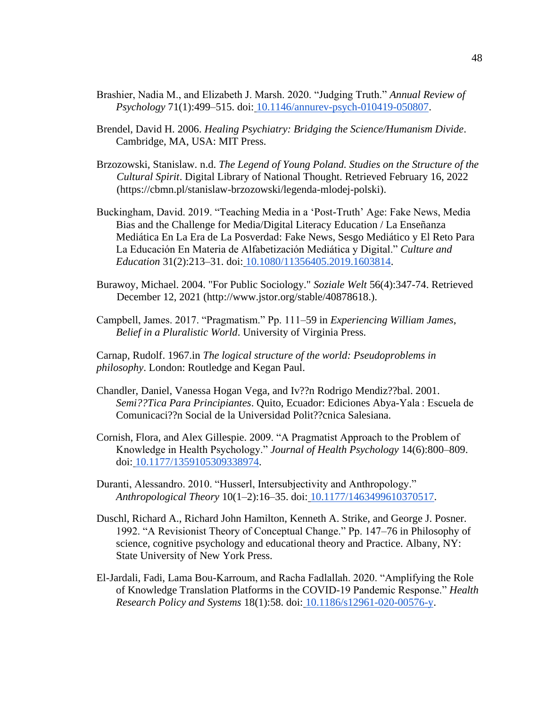- Brashier, Nadia M., and Elizabeth J. Marsh. 2020. "Judging Truth." *Annual Review of Psychology* 71(1):499–515. doi: [10.1146/annurev-psych-010419-050807.](https://doi.org/10.1146/annurev-psych-010419-050807)
- Brendel, David H. 2006. *Healing Psychiatry: Bridging the Science/Humanism Divide*. Cambridge, MA, USA: MIT Press.
- Brzozowski, Stanislaw. n.d. *The Legend of Young Poland. Studies on the Structure of the Cultural Spirit*. Digital Library of National Thought. Retrieved February 16, 2022 (https://cbmn.pl/stanislaw-brzozowski/legenda-mlodej-polski).
- Buckingham, David. 2019. "Teaching Media in a 'Post-Truth' Age: Fake News, Media Bias and the Challenge for Media/Digital Literacy Education / La Enseñanza Mediática En La Era de La Posverdad: Fake News, Sesgo Mediático y El Reto Para La Educación En Materia de Alfabetización Mediática y Digital." *Culture and Education* 31(2):213–31. doi: [10.1080/11356405.2019.1603814.](https://doi.org/10.1080/11356405.2019.1603814)
- Burawoy, Michael. 2004. "For Public Sociology." *Soziale Welt* 56(4):347-74. Retrieved December 12, 2021 (http://www.jstor.org/stable/40878618.).
- Campbell, James. 2017. "Pragmatism." Pp. 111–59 in *Experiencing William James*, *Belief in a Pluralistic World*. University of Virginia Press.

Carnap, Rudolf. 1967.in *The logical structure of the world: Pseudoproblems in philosophy*. London: Routledge and Kegan Paul.

- Chandler, Daniel, Vanessa Hogan Vega, and Iv??n Rodrigo Mendiz??bal. 2001. *Semi??Tica Para Principiantes*. Quito, Ecuador: Ediciones Abya-Yala : Escuela de Comunicaci??n Social de la Universidad Polit??cnica Salesiana.
- Cornish, Flora, and Alex Gillespie. 2009. "A Pragmatist Approach to the Problem of Knowledge in Health Psychology." *Journal of Health Psychology* 14(6):800–809. doi: [10.1177/1359105309338974.](https://doi.org/10.1177/1359105309338974)
- Duranti, Alessandro. 2010. "Husserl, Intersubjectivity and Anthropology." *Anthropological Theory* 10(1–2):16–35. doi: [10.1177/1463499610370517.](https://doi.org/10.1177/1463499610370517)
- Duschl, Richard A., Richard John Hamilton, Kenneth A. Strike, and George J. Posner. 1992. "A Revisionist Theory of Conceptual Change." Pp. 147–76 in Philosophy of science, cognitive psychology and educational theory and Practice. Albany, NY: State University of New York Press.
- El-Jardali, Fadi, Lama Bou-Karroum, and Racha Fadlallah. 2020. "Amplifying the Role of Knowledge Translation Platforms in the COVID-19 Pandemic Response." *Health Research Policy and Systems* 18(1):58. doi: [10.1186/s12961-020-00576-y.](https://doi.org/10.1186/s12961-020-00576-y)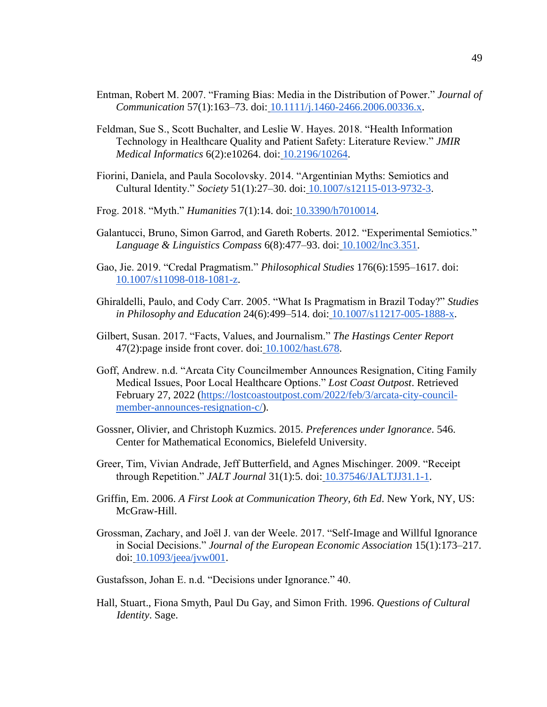- Entman, Robert M. 2007. "Framing Bias: Media in the Distribution of Power." *Journal of Communication* 57(1):163–73. doi: [10.1111/j.1460-2466.2006.00336.x.](https://doi.org/10.1111/j.1460-2466.2006.00336.x)
- Feldman, Sue S., Scott Buchalter, and Leslie W. Hayes. 2018. "Health Information Technology in Healthcare Quality and Patient Safety: Literature Review." *JMIR Medical Informatics* 6(2):e10264. doi: [10.2196/10264.](https://doi.org/10.2196/10264)
- Fiorini, Daniela, and Paula Socolovsky. 2014. "Argentinian Myths: Semiotics and Cultural Identity." *Society* 51(1):27–30. doi: [10.1007/s12115-013-9732-3.](https://doi.org/10.1007/s12115-013-9732-3)
- Frog. 2018. "Myth." *Humanities* 7(1):14. doi: [10.3390/h7010014.](https://doi.org/10.3390/h7010014)
- Galantucci, Bruno, Simon Garrod, and Gareth Roberts. 2012. "Experimental Semiotics." *Language & Linguistics Compass* 6(8):477–93. doi: [10.1002/lnc3.351.](https://doi.org/10.1002/lnc3.351)
- Gao, Jie. 2019. "Credal Pragmatism." *Philosophical Studies* 176(6):1595–1617. doi[:](https://doi.org/10.1007/s11098-018-1081-z) [10.1007/s11098-018-1081-z.](https://doi.org/10.1007/s11098-018-1081-z)
- Ghiraldelli, Paulo, and Cody Carr. 2005. "What Is Pragmatism in Brazil Today?" *Studies in Philosophy and Education* 24(6):499–514. doi: [10.1007/s11217-005-1888-x.](https://doi.org/10.1007/s11217-005-1888-x)
- Gilbert, Susan. 2017. "Facts, Values, and Journalism." *The Hastings Center Report* 47(2):page inside front cover. doi: [10.1002/hast.678.](https://doi.org/10.1002/hast.678)
- Goff, Andrew. n.d. "Arcata City Councilmember Announces Resignation, Citing Family Medical Issues, Poor Local Healthcare Options." *Lost Coast Outpost*. Retrieved February 27, 2022 [\(https://lostcoastoutpost.com/2022/feb/3/arcata-city-council](https://lostcoastoutpost.com/2022/feb/3/arcata-city-council-member-announces-resignation-c/)[member-announces-resignation-c/\)](https://lostcoastoutpost.com/2022/feb/3/arcata-city-council-member-announces-resignation-c/).
- Gossner, Olivier, and Christoph Kuzmics. 2015. *Preferences under Ignorance*. 546. Center for Mathematical Economics, Bielefeld University.
- Greer, Tim, Vivian Andrade, Jeff Butterfield, and Agnes Mischinger. 2009. "Receipt through Repetition." *JALT Journal* 31(1):5. doi: [10.37546/JALTJJ31.1-1.](https://doi.org/10.37546/JALTJJ31.1-1)
- Griffin, Em. 2006. *A First Look at Communication Theory, 6th Ed*. New York, NY, US: McGraw-Hill.
- Grossman, Zachary, and Joël J. van der Weele. 2017. "Self-Image and Willful Ignorance in Social Decisions." *Journal of the European Economic Association* 15(1):173–217. doi: [10.1093/jeea/jvw001.](https://doi.org/10.1093/jeea/jvw001)

Gustafsson, Johan E. n.d. "Decisions under Ignorance." 40.

Hall, Stuart., Fiona Smyth, Paul Du Gay, and Simon Frith. 1996. *Questions of Cultural Identity*. Sage.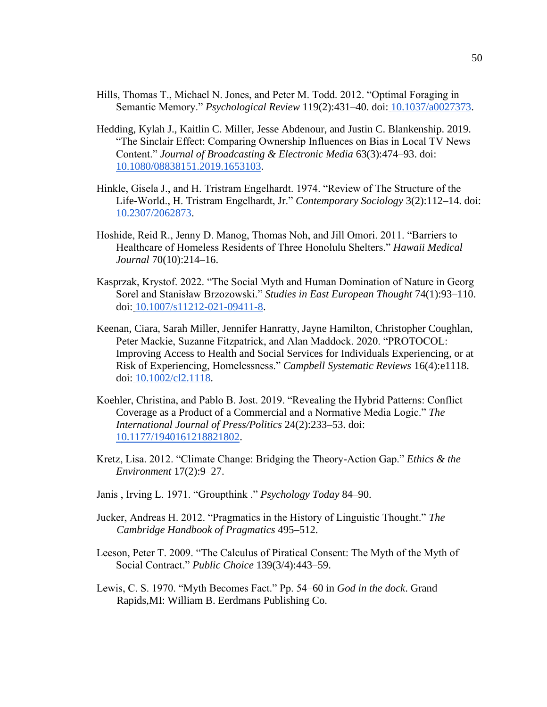- Hills, Thomas T., Michael N. Jones, and Peter M. Todd. 2012. "Optimal Foraging in Semantic Memory." *Psychological Review* 119(2):431–40. doi: [10.1037/a0027373.](https://doi.org/10.1037/a0027373)
- Hedding, Kylah J., Kaitlin C. Miller, Jesse Abdenour, and Justin C. Blankenship. 2019. "The Sinclair Effect: Comparing Ownership Influences on Bias in Local TV News Content." *Journal of Broadcasting & Electronic Media* 63(3):474–93. doi[:](https://doi.org/10.1080/08838151.2019.1653103) [10.1080/08838151.2019.1653103.](https://doi.org/10.1080/08838151.2019.1653103)
- Hinkle, Gisela J., and H. Tristram Engelhardt. 1974. "Review of The Structure of the Life-World., H. Tristram Engelhardt, Jr." *Contemporary Sociology* 3(2):112–14. doi[:](https://doi.org/10.2307/2062873) [10.2307/2062873.](https://doi.org/10.2307/2062873)
- Hoshide, Reid R., Jenny D. Manog, Thomas Noh, and Jill Omori. 2011. "Barriers to Healthcare of Homeless Residents of Three Honolulu Shelters." *Hawaii Medical Journal* 70(10):214–16.
- Kasprzak, Krystof. 2022. "The Social Myth and Human Domination of Nature in Georg Sorel and Stanisław Brzozowski." *Studies in East European Thought* 74(1):93–110. doi: [10.1007/s11212-021-09411-8.](https://doi.org/10.1007/s11212-021-09411-8)
- Keenan, Ciara, Sarah Miller, Jennifer Hanratty, Jayne Hamilton, Christopher Coughlan, Peter Mackie, Suzanne Fitzpatrick, and Alan Maddock. 2020. "PROTOCOL: Improving Access to Health and Social Services for Individuals Experiencing, or at Risk of Experiencing, Homelessness." *Campbell Systematic Reviews* 16(4):e1118. doi: [10.1002/cl2.1118.](https://doi.org/10.1002/cl2.1118)
- Koehler, Christina, and Pablo B. Jost. 2019. "Revealing the Hybrid Patterns: Conflict Coverage as a Product of a Commercial and a Normative Media Logic." *The International Journal of Press/Politics* 24(2):233–53. doi[:](https://doi.org/10.1177/1940161218821802) [10.1177/1940161218821802.](https://doi.org/10.1177/1940161218821802)
- Kretz, Lisa. 2012. "Climate Change: Bridging the Theory-Action Gap." *Ethics & the Environment* 17(2):9–27.
- Janis , Irving L. 1971. "Groupthink ." *Psychology Today* 84–90.
- Jucker, Andreas H. 2012. "Pragmatics in the History of Linguistic Thought." *The Cambridge Handbook of Pragmatics* 495–512.
- Leeson, Peter T. 2009. "The Calculus of Piratical Consent: The Myth of the Myth of Social Contract." *Public Choice* 139(3/4):443–59.
- Lewis, C. S. 1970. "Myth Becomes Fact." Pp. 54–60 in *God in the dock*. Grand Rapids,MI: William B. Eerdmans Publishing Co.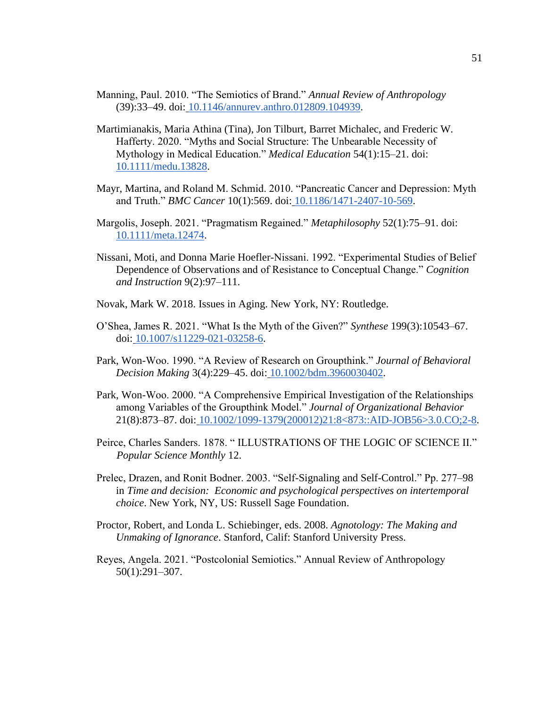- Manning, Paul. 2010. "The Semiotics of Brand." *Annual Review of Anthropology* (39):33–49. doi: [10.1146/annurev.anthro.012809.104939.](https://doi.org/10.1146/annurev.anthro.012809.104939)
- Martimianakis, Maria Athina (Tina), Jon Tilburt, Barret Michalec, and Frederic W. Hafferty. 2020. "Myths and Social Structure: The Unbearable Necessity of Mythology in Medical Education." *Medical Education* 54(1):15–21. doi[:](https://doi.org/10.1111/medu.13828) [10.1111/medu.13828.](https://doi.org/10.1111/medu.13828)
- Mayr, Martina, and Roland M. Schmid. 2010. "Pancreatic Cancer and Depression: Myth and Truth." *BMC Cancer* 10(1):569. doi: [10.1186/1471-2407-10-569.](https://doi.org/10.1186/1471-2407-10-569)
- Margolis, Joseph. 2021. "Pragmatism Regained." *Metaphilosophy* 52(1):75–91. doi[:](https://doi.org/10.1111/meta.12474) [10.1111/meta.12474.](https://doi.org/10.1111/meta.12474)
- Nissani, Moti, and Donna Marie Hoefler-Nissani. 1992. "Experimental Studies of Belief Dependence of Observations and of Resistance to Conceptual Change." *Cognition and Instruction* 9(2):97–111.
- Novak, Mark W. 2018. Issues in Aging. New York, NY: Routledge.
- O'Shea, James R. 2021. "What Is the Myth of the Given?" *Synthese* 199(3):10543–67. doi: [10.1007/s11229-021-03258-6.](https://doi.org/10.1007/s11229-021-03258-6)
- Park, Won-Woo. 1990. "A Review of Research on Groupthink." *Journal of Behavioral Decision Making* 3(4):229–45. doi: [10.1002/bdm.3960030402.](https://doi.org/10.1002/bdm.3960030402)
- Park, Won-Woo. 2000. "A Comprehensive Empirical Investigation of the Relationships among Variables of the Groupthink Model." *Journal of Organizational Behavior* 21(8):873–87. doi: [10.1002/1099-1379\(200012\)21:8<873::AID-JOB56>3.0.CO;2-8.](https://doi.org/10.1002/1099-1379(200012)21:8%3C873::AID-JOB56%3E3.0.CO;2-8)
- Peirce, Charles Sanders. 1878. " ILLUSTRATIONS OF THE LOGIC OF SCIENCE II." *Popular Science Monthly* 12.
- Prelec, Drazen, and Ronit Bodner. 2003. "Self-Signaling and Self-Control." Pp. 277–98 in *Time and decision: Economic and psychological perspectives on intertemporal choice*. New York, NY, US: Russell Sage Foundation.
- Proctor, Robert, and Londa L. Schiebinger, eds. 2008. *Agnotology: The Making and Unmaking of Ignorance*. Stanford, Calif: Stanford University Press.
- Reyes, Angela. 2021. "Postcolonial Semiotics." Annual Review of Anthropology 50(1):291–307.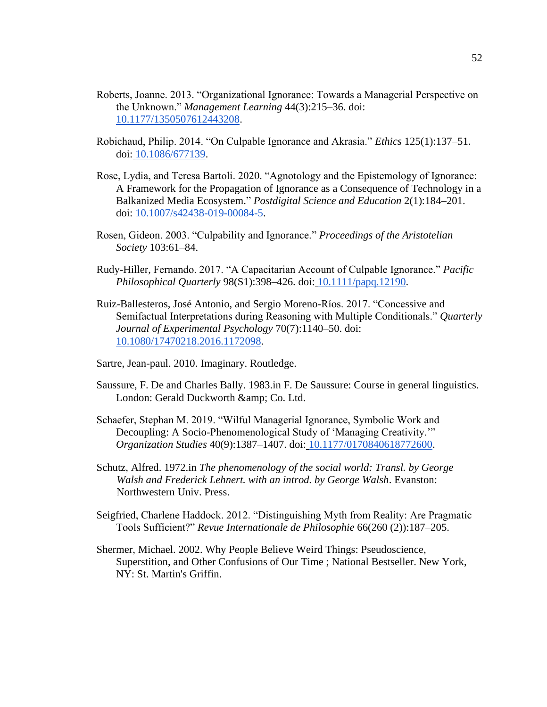- Roberts, Joanne. 2013. "Organizational Ignorance: Towards a Managerial Perspective on the Unknown." *Management Learning* 44(3):215–36. doi[:](https://doi.org/10.1177/1350507612443208) [10.1177/1350507612443208.](https://doi.org/10.1177/1350507612443208)
- Robichaud, Philip. 2014. "On Culpable Ignorance and Akrasia." *Ethics* 125(1):137–51. doi: [10.1086/677139.](https://doi.org/10.1086/677139)
- Rose, Lydia, and Teresa Bartoli. 2020. "Agnotology and the Epistemology of Ignorance: A Framework for the Propagation of Ignorance as a Consequence of Technology in a Balkanized Media Ecosystem." *Postdigital Science and Education* 2(1):184–201. doi: [10.1007/s42438-019-00084-5.](https://doi.org/10.1007/s42438-019-00084-5)
- Rosen, Gideon. 2003. "Culpability and Ignorance." *Proceedings of the Aristotelian Society* 103:61–84.
- Rudy-Hiller, Fernando. 2017. "A Capacitarian Account of Culpable Ignorance." *Pacific Philosophical Quarterly* 98(S1):398–426. doi: [10.1111/papq.12190.](https://doi.org/10.1111/papq.12190)
- Ruiz-Ballesteros, José Antonio, and Sergio Moreno-Ríos. 2017. "Concessive and Semifactual Interpretations during Reasoning with Multiple Conditionals." *Quarterly Journal of Experimental Psychology* 70(7):1140–50. doi[:](https://doi.org/10.1080/17470218.2016.1172098) [10.1080/17470218.2016.1172098.](https://doi.org/10.1080/17470218.2016.1172098)
- Sartre, Jean-paul. 2010. Imaginary. Routledge.
- Saussure, F. De and Charles Bally. 1983.in F. De Saussure: Course in general linguistics. London: Gerald Duckworth & amp; Co. Ltd.
- Schaefer, Stephan M. 2019. "Wilful Managerial Ignorance, Symbolic Work and Decoupling: A Socio-Phenomenological Study of 'Managing Creativity.'" *Organization Studies* 40(9):1387–1407. doi: [10.1177/0170840618772600.](https://doi.org/10.1177/0170840618772600)
- Schutz, Alfred. 1972.in *The phenomenology of the social world: Transl. by George Walsh and Frederick Lehnert. with an introd. by George Walsh*. Evanston: Northwestern Univ. Press.
- Seigfried, Charlene Haddock. 2012. "Distinguishing Myth from Reality: Are Pragmatic Tools Sufficient?" *Revue Internationale de Philosophie* 66(260 (2)):187–205.
- Shermer, Michael. 2002. Why People Believe Weird Things: Pseudoscience, Superstition, and Other Confusions of Our Time ; National Bestseller. New York, NY: St. Martin's Griffin.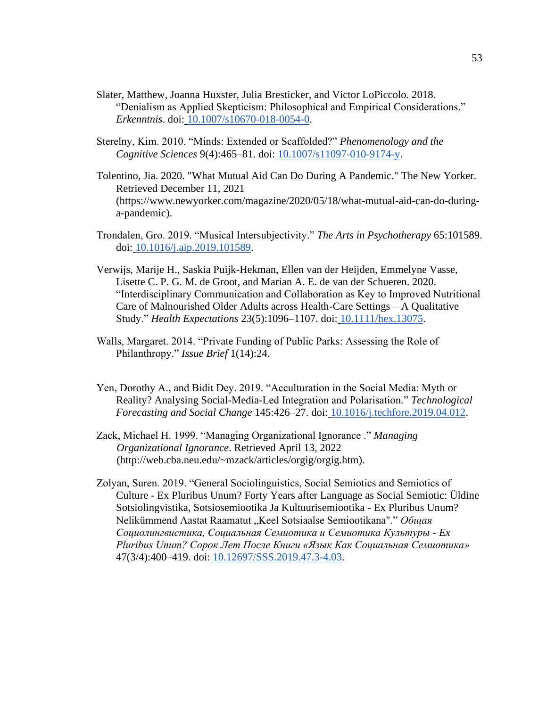- Slater, Matthew, Joanna Huxster, Julia Bresticker, and Victor LoPiccolo. 2018. "Denialism as Applied Skepticism: Philosophical and Empirical Considerations." *Erkenntnis*. doi: [10.1007/s10670-018-0054-0.](https://doi.org/10.1007/s10670-018-0054-0)
- Sterelny, Kim. 2010. "Minds: Extended or Scaffolded?" *Phenomenology and the Cognitive Sciences* 9(4):465–81. doi: [10.1007/s11097-010-9174-y.](https://doi.org/10.1007/s11097-010-9174-y)
- Tolentino, Jia. 2020. "What Mutual Aid Can Do During A Pandemic." The New Yorker. Retrieved December 11, 2021 (https://www.newyorker.com/magazine/2020/05/18/what-mutual-aid-can-do-duringa-pandemic).
- Trondalen, Gro. 2019. "Musical Intersubjectivity." *The Arts in Psychotherapy* 65:101589. doi: [10.1016/j.aip.2019.101589.](https://doi.org/10.1016/j.aip.2019.101589)
- Verwijs, Marije H., Saskia Puijk-Hekman, Ellen van der Heijden, Emmelyne Vasse, Lisette C. P. G. M. de Groot, and Marian A. E. de van der Schueren. 2020. "Interdisciplinary Communication and Collaboration as Key to Improved Nutritional Care of Malnourished Older Adults across Health-Care Settings – A Qualitative Study." *Health Expectations* 23(5):1096–1107. doi: [10.1111/hex.13075.](https://doi.org/10.1111/hex.13075)
- Walls, Margaret. 2014. "Private Funding of Public Parks: Assessing the Role of Philanthropy." *Issue Brief* 1(14):24.
- Yen, Dorothy A., and Bidit Dey. 2019. "Acculturation in the Social Media: Myth or Reality? Analysing Social-Media-Led Integration and Polarisation." *Technological Forecasting and Social Change* 145:426–27. doi: [10.1016/j.techfore.2019.04.012.](https://doi.org/10.1016/j.techfore.2019.04.012)
- Zack, Michael H. 1999. "Managing Organizational Ignorance ." *Managing Organizational Ignorance*. Retrieved April 13, 2022 (http://web.cba.neu.edu/~mzack/articles/orgig/orgig.htm).
- Zolyan, Suren. 2019. "General Sociolinguistics, Social Semiotics and Semiotics of Culture - Ex Pluribus Unum? Forty Years after Language as Social Semiotic: Üldine Sotsiolingvistika, Sotsiosemiootika Ja Kultuurisemiootika - Ex Pluribus Unum? Nelikümmend Aastat Raamatut "Keel Sotsiaalse Semiootikana"." Общая *Социолингвистика, Социальная Семиотика и Семиотика Культуры - Ex Pluribus Unum? Сорок Лет После Книги «Язык Как Социальная Семиотика»* 47(3/4):400–419. doi: [10.12697/SSS.2019.47.3-4.03.](https://doi.org/10.12697/SSS.2019.47.3-4.03)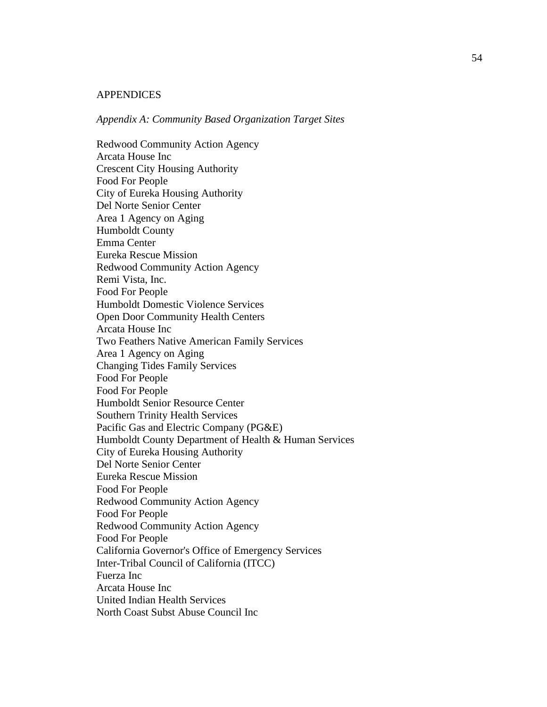## <span id="page-58-0"></span>**APPENDICES**

<span id="page-58-1"></span>*Appendix A: Community Based Organization Target Sites*

Redwood Community Action Agency Arcata House Inc Crescent City Housing Authority Food For People City of Eureka Housing Authority Del Norte Senior Center Area 1 Agency on Aging Humboldt County Emma Center Eureka Rescue Mission Redwood Community Action Agency Remi Vista, Inc. Food For People Humboldt Domestic Violence Services Open Door Community Health Centers Arcata House Inc Two Feathers Native American Family Services Area 1 Agency on Aging Changing Tides Family Services Food For People Food For People Humboldt Senior Resource Center Southern Trinity Health Services Pacific Gas and Electric Company (PG&E) Humboldt County Department of Health & Human Services City of Eureka Housing Authority Del Norte Senior Center Eureka Rescue Mission Food For People Redwood Community Action Agency Food For People Redwood Community Action Agency Food For People California Governor's Office of Emergency Services Inter-Tribal Council of California (ITCC) Fuerza Inc Arcata House Inc United Indian Health Services North Coast Subst Abuse Council Inc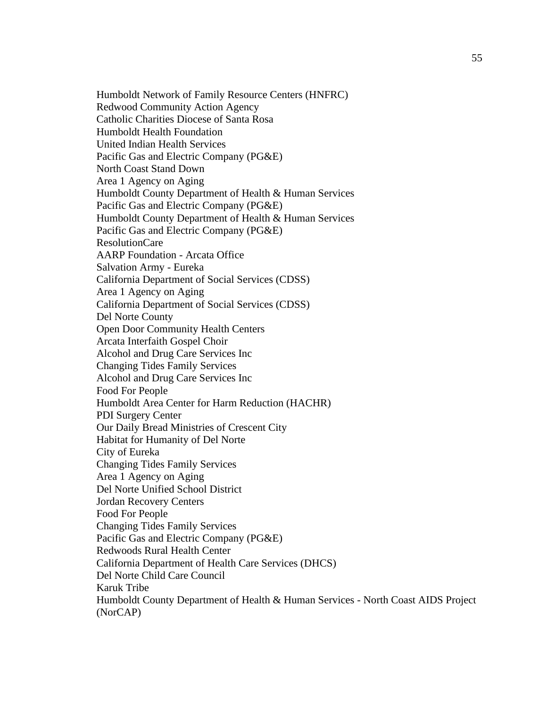Humboldt Network of Family Resource Centers (HNFRC) Redwood Community Action Agency Catholic Charities Diocese of Santa Rosa Humboldt Health Foundation United Indian Health Services Pacific Gas and Electric Company (PG&E) North Coast Stand Down Area 1 Agency on Aging Humboldt County Department of Health & Human Services Pacific Gas and Electric Company (PG&E) Humboldt County Department of Health & Human Services Pacific Gas and Electric Company (PG&E) ResolutionCare AARP Foundation - Arcata Office Salvation Army - Eureka California Department of Social Services (CDSS) Area 1 Agency on Aging California Department of Social Services (CDSS) Del Norte County Open Door Community Health Centers Arcata Interfaith Gospel Choir Alcohol and Drug Care Services Inc Changing Tides Family Services Alcohol and Drug Care Services Inc Food For People Humboldt Area Center for Harm Reduction (HACHR) PDI Surgery Center Our Daily Bread Ministries of Crescent City Habitat for Humanity of Del Norte City of Eureka Changing Tides Family Services Area 1 Agency on Aging Del Norte Unified School District Jordan Recovery Centers Food For People Changing Tides Family Services Pacific Gas and Electric Company (PG&E) Redwoods Rural Health Center California Department of Health Care Services (DHCS) Del Norte Child Care Council Karuk Tribe Humboldt County Department of Health & Human Services - North Coast AIDS Project (NorCAP)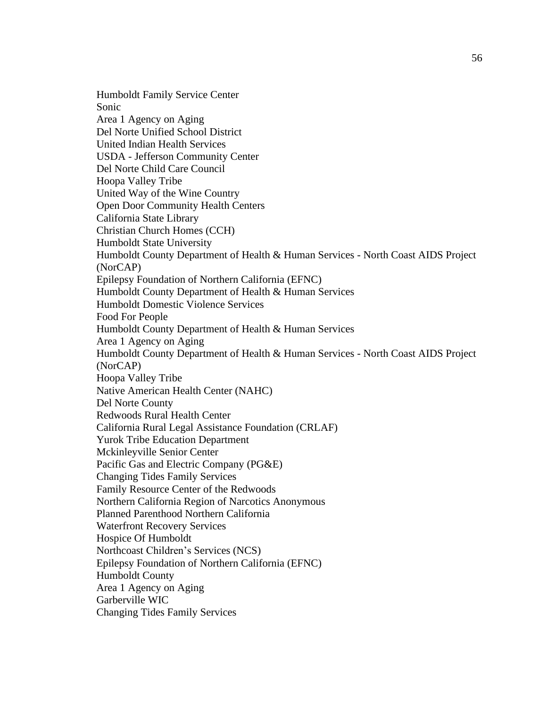Humboldt Family Service Center Sonic Area 1 Agency on Aging Del Norte Unified School District United Indian Health Services USDA - Jefferson Community Center Del Norte Child Care Council Hoopa Valley Tribe United Way of the Wine Country Open Door Community Health Centers California State Library Christian Church Homes (CCH) Humboldt State University Humboldt County Department of Health & Human Services - North Coast AIDS Project (NorCAP) Epilepsy Foundation of Northern California (EFNC) Humboldt County Department of Health & Human Services Humboldt Domestic Violence Services Food For People Humboldt County Department of Health & Human Services Area 1 Agency on Aging Humboldt County Department of Health & Human Services - North Coast AIDS Project (NorCAP) Hoopa Valley Tribe Native American Health Center (NAHC) Del Norte County Redwoods Rural Health Center California Rural Legal Assistance Foundation (CRLAF) Yurok Tribe Education Department Mckinleyville Senior Center Pacific Gas and Electric Company (PG&E) Changing Tides Family Services Family Resource Center of the Redwoods Northern California Region of Narcotics Anonymous Planned Parenthood Northern California Waterfront Recovery Services Hospice Of Humboldt Northcoast Children's Services (NCS) Epilepsy Foundation of Northern California (EFNC) Humboldt County Area 1 Agency on Aging Garberville WIC Changing Tides Family Services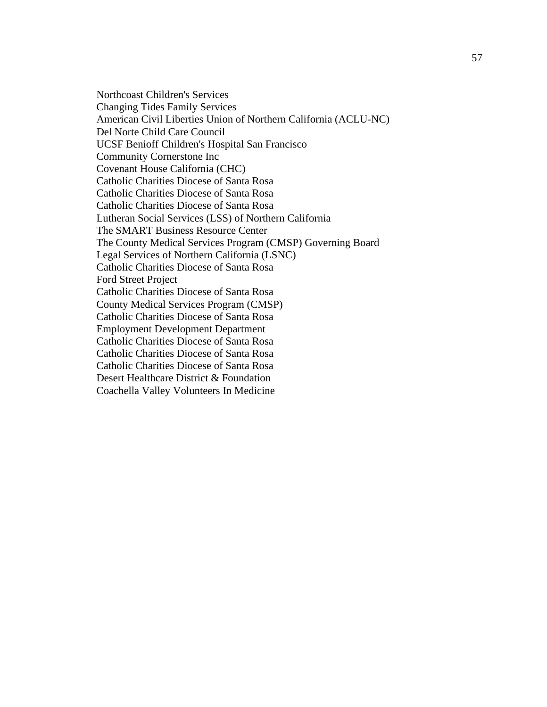<span id="page-61-0"></span>Northcoast Children's Services Changing Tides Family Services American Civil Liberties Union of Northern California (ACLU-NC) Del Norte Child Care Council UCSF Benioff Children's Hospital San Francisco Community Cornerstone Inc Covenant House California (CHC) Catholic Charities Diocese of Santa Rosa Catholic Charities Diocese of Santa Rosa Catholic Charities Diocese of Santa Rosa Lutheran Social Services (LSS) of Northern California The SMART Business Resource Center The County Medical Services Program (CMSP) Governing Board Legal Services of Northern California (LSNC) Catholic Charities Diocese of Santa Rosa Ford Street Project Catholic Charities Diocese of Santa Rosa County Medical Services Program (CMSP) Catholic Charities Diocese of Santa Rosa Employment Development Department Catholic Charities Diocese of Santa Rosa Catholic Charities Diocese of Santa Rosa Catholic Charities Diocese of Santa Rosa Desert Healthcare District & Foundation Coachella Valley Volunteers In Medicine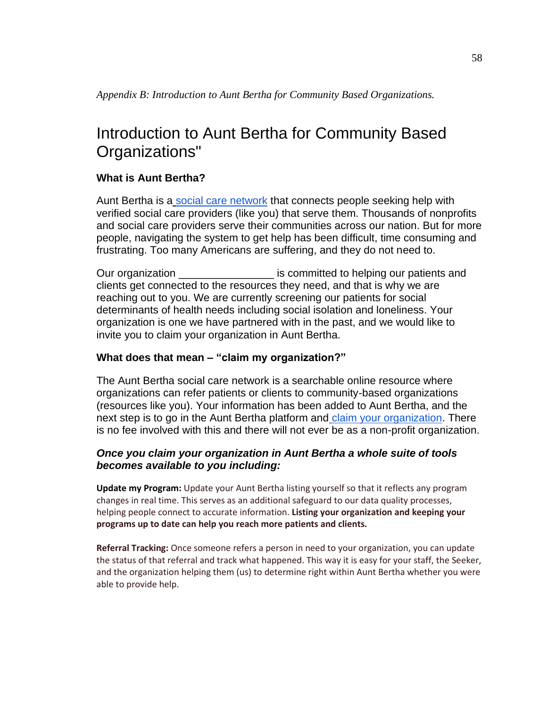# Introduction to Aunt Bertha for Community Based Organizations"

# **What is Aunt Bertha?**

Aunt Bertha is a [social care network](https://www.findhelp.org/) that connects people seeking help with verified social care providers (like you) that serve them. Thousands of nonprofits and social care providers serve their communities across our nation. But for more people, navigating the system to get help has been difficult, time consuming and frustrating. Too many Americans are suffering, and they do not need to.

Our organization \_\_\_\_\_\_\_\_\_\_\_\_\_\_\_\_ is committed to helping our patients and clients get connected to the resources they need, and that is why we are reaching out to you. We are currently screening our patients for social determinants of health needs including social isolation and loneliness. Your organization is one we have partnered with in the past, and we would like to invite you to claim your organization in Aunt Bertha.

## **What does that mean – "claim my organization?"**

The Aunt Bertha social care network is a searchable online resource where organizations can refer patients or clients to community-based organizations (resources like you). Your information has been added to Aunt Bertha, and the next step is to go in the Aunt Bertha platform and [claim your organization.](https://www.findhelp.org/claims?ref=ab_redirect) There is no fee involved with this and there will not ever be as a non-profit organization.

# *Once you claim your organization in Aunt Bertha a whole suite of tools becomes available to you including:*

**Update my Program:** Update your Aunt Bertha listing yourself so that it reflects any program changes in real time. This serves as an additional safeguard to our data quality processes, helping people connect to accurate information. **Listing your organization and keeping your programs up to date can help you reach more patients and clients.**

**Referral Tracking:** Once someone refers a person in need to your organization, you can update the status of that referral and track what happened. This way it is easy for your staff, the Seeker, and the organization helping them (us) to determine right within Aunt Bertha whether you were able to provide help.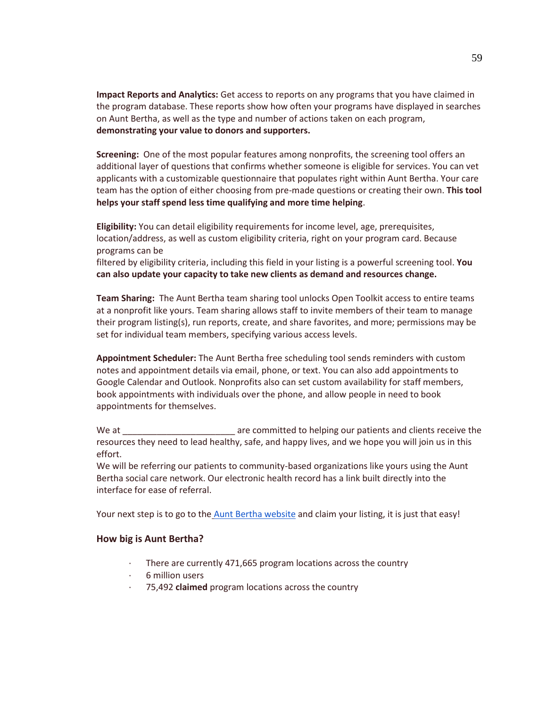**Impact Reports and Analytics:** Get access to reports on any programs that you have claimed in the program database. These reports show how often your programs have displayed in searches on Aunt Bertha, as well as the type and number of actions taken on each program, **demonstrating your value to donors and supporters.**

**Screening:** One of the most popular features among nonprofits, the screening tool offers an additional layer of questions that confirms whether someone is eligible for services. You can vet applicants with a customizable questionnaire that populates right within Aunt Bertha. Your care team has the option of either choosing from pre-made questions or creating their own. **This tool helps your staff spend less time qualifying and more time helping**.

**Eligibility:** You can detail eligibility requirements for income level, age, prerequisites, location/address, as well as custom eligibility criteria, right on your program card. Because programs can be

filtered by eligibility criteria, including this field in your listing is a powerful screening tool. **You can also update your capacity to take new clients as demand and resources change.**

**Team Sharing:** The Aunt Bertha team sharing tool unlocks Open Toolkit access to entire teams at a nonprofit like yours. Team sharing allows staff to invite members of their team to manage their program listing(s), run reports, create, and share favorites, and more; permissions may be set for individual team members, specifying various access levels.

**Appointment Scheduler:** The Aunt Bertha free scheduling tool sends reminders with custom notes and appointment details via email, phone, or text. You can also add appointments to Google Calendar and Outlook. Nonprofits also can set custom availability for staff members, book appointments with individuals over the phone, and allow people in need to book appointments for themselves.

We at the committed to helping our patients and clients receive the resources they need to lead healthy, safe, and happy lives, and we hope you will join us in this effort.

We will be referring our patients to community-based organizations like yours using the Aunt Bertha social care network. Our electronic health record has a link built directly into the interface for ease of referral.

Your next step is to go to the [Aunt Bertha website](https://company.auntbertha.com/for-nonprofits/) and claim your listing, it is just that easy!

#### **How big is Aunt Bertha?**

- There are currently 471,665 program locations across the country
- · 6 million users
- · 75,492 **claimed** program locations across the country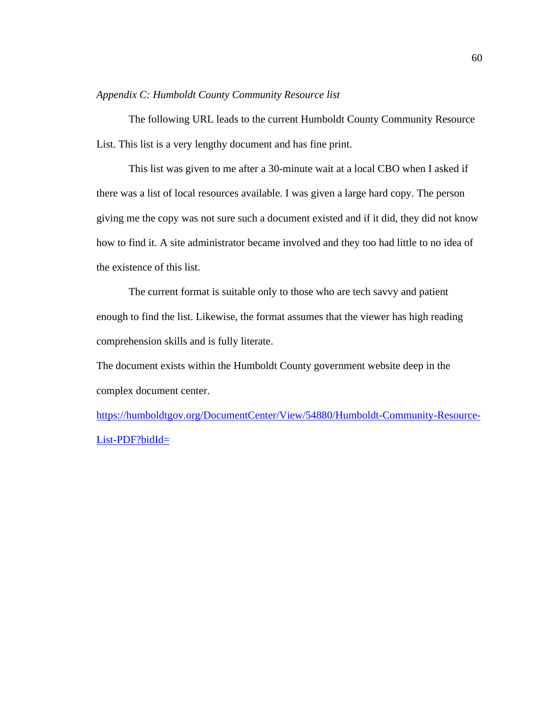## <span id="page-64-0"></span>*Appendix C: Humboldt County Community Resource list*

The following URL leads to the current Humboldt County Community Resource List. This list is a very lengthy document and has fine print.

This list was given to me after a 30-minute wait at a local CBO when I asked if there was a list of local resources available. I was given a large hard copy. The person giving me the copy was not sure such a document existed and if it did, they did not know how to find it. A site administrator became involved and they too had little to no idea of the existence of this list.

The current format is suitable only to those who are tech savvy and patient enough to find the list. Likewise, the format assumes that the viewer has high reading comprehension skills and is fully literate.

The document exists within the Humboldt County government website deep in the complex document center.

<span id="page-64-1"></span>https://humboldtgov.org/DocumentCenter/View/54880/Humboldt-Community-Resource-List-PDF?bidId=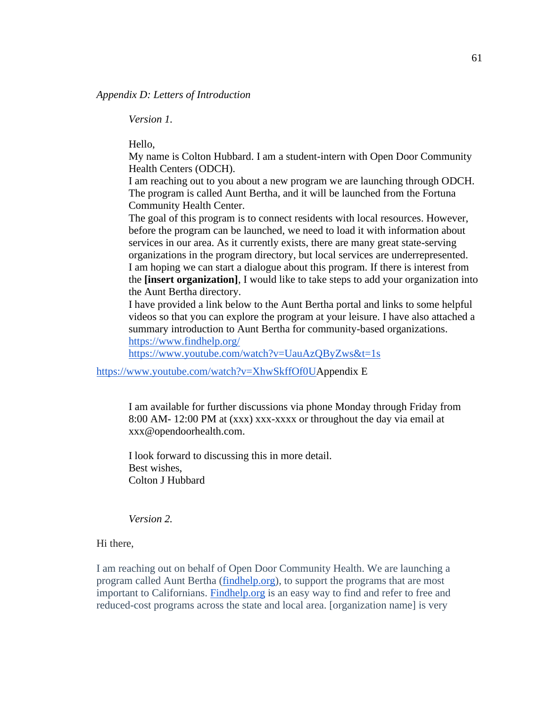## <span id="page-65-0"></span>*Appendix D: Letters of Introduction*

*Version 1.*

Hello,

My name is Colton Hubbard. I am a student-intern with Open Door Community Health Centers (ODCH).

I am reaching out to you about a new program we are launching through ODCH. The program is called Aunt Bertha, and it will be launched from the Fortuna Community Health Center.

The goal of this program is to connect residents with local resources. However, before the program can be launched, we need to load it with information about services in our area. As it currently exists, there are many great state-serving organizations in the program directory, but local services are underrepresented. I am hoping we can start a dialogue about this program. If there is interest from the **[insert organization]**, I would like to take steps to add your organization into the Aunt Bertha directory.

I have provided a link below to the Aunt Bertha portal and links to some helpful videos so that you can explore the program at your leisure. I have also attached a summary introduction to Aunt Bertha for community-based organizations. https://www.findhelp.org/

https://www.youtube.com/watch?v=UauAzQByZws&t=1s

https://www.youtube.com/watch?v=XhwSkffOf0UAppendix E

I am available for further discussions via phone Monday through Friday from 8:00 AM- 12:00 PM at (xxx) xxx-xxxx or throughout the day via email at xxx@opendoorhealth.com.

I look forward to discussing this in more detail. Best wishes, Colton J Hubbard

*Version 2.*

<span id="page-65-1"></span>Hi there,

I am reaching out on behalf of Open Door Community Health. We are launching a program called Aunt Bertha (findhelp.org), to support the programs that are most important to Californians. Findhelp.org is an easy way to find and refer to free and reduced-cost programs across the state and local area. [organization name] is very